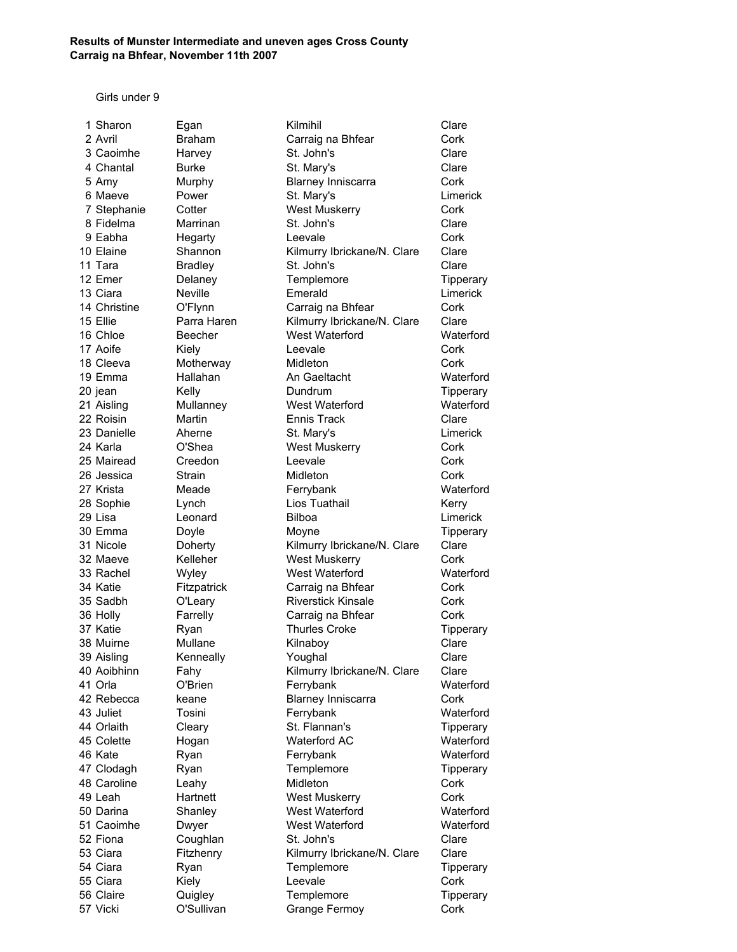Girls under 9

| 1 Sharon     | Egan           | Kilmihil                    | Clare     |
|--------------|----------------|-----------------------------|-----------|
| 2 Avril      | <b>Braham</b>  | Carraig na Bhfear           | Cork      |
| 3 Caoimhe    | Harvey         | St. John's                  | Clare     |
| 4 Chantal    | <b>Burke</b>   | St. Mary's                  | Clare     |
| 5 Amy        | Murphy         | <b>Blarney Inniscarra</b>   | Cork      |
| 6 Maeve      | Power          | St. Mary's                  | Limerick  |
| 7 Stephanie  | Cotter         | <b>West Muskerry</b>        | Cork      |
| 8 Fidelma    | Marrinan       | St. John's                  | Clare     |
| 9 Eabha      | Hegarty        | Leevale                     | Cork      |
| 10 Elaine    | Shannon        | Kilmurry Ibrickane/N. Clare | Clare     |
| 11 Tara      | <b>Bradley</b> | St. John's                  | Clare     |
| 12 Emer      | Delaney        | Templemore                  | Tipperary |
| 13 Ciara     | <b>Neville</b> | Emerald                     | Limerick  |
| 14 Christine | O'Flynn        | Carraig na Bhfear           | Cork      |
| 15 Ellie     | Parra Haren    | Kilmurry Ibrickane/N. Clare | Clare     |
| 16 Chloe     | Beecher        | West Waterford              | Waterford |
| 17 Aoife     | Kiely          | Leevale                     | Cork      |
| 18 Cleeva    | Motherway      | Midleton                    | Cork      |
| 19 Emma      | Hallahan       | An Gaeltacht                | Waterford |
| 20 jean      | Kelly          | Dundrum                     | Tipperary |
| 21 Aisling   | Mullanney      | West Waterford              | Waterford |
| 22 Roisin    | Martin         | <b>Ennis Track</b>          | Clare     |
| 23 Danielle  | Aherne         | St. Mary's                  | Limerick  |
| 24 Karla     | O'Shea         | <b>West Muskerry</b>        | Cork      |
| 25 Mairead   | Creedon        | Leevale                     | Cork      |
| 26 Jessica   | Strain         | Midleton                    | Cork      |
| 27 Krista    | Meade          | Ferrybank                   | Waterford |
| 28 Sophie    | Lynch          | Lios Tuathail               | Kerry     |
| 29 Lisa      | Leonard        | Bilboa                      | Limerick  |
| 30 Emma      | Doyle          | Moyne                       | Tipperary |
| 31 Nicole    | Doherty        | Kilmurry Ibrickane/N. Clare | Clare     |
| 32 Maeve     | Kelleher       | <b>West Muskerry</b>        | Cork      |
| 33 Rachel    | Wyley          | West Waterford              | Waterford |
| 34 Katie     | Fitzpatrick    | Carraig na Bhfear           | Cork      |
| 35 Sadbh     | O'Leary        | <b>Riverstick Kinsale</b>   | Cork      |
| 36 Holly     | Farrelly       | Carraig na Bhfear           | Cork      |
| 37 Katie     | Ryan           | <b>Thurles Croke</b>        | Tipperary |
| 38 Muirne    | Mullane        | Kilnaboy                    | Clare     |
| 39 Aisling   | Kenneally      | Youghal                     | Clare     |
| 40 Aoibhinn  | Fahy           | Kilmurry Ibrickane/N. Clare | Clare     |
| 41 Orla      | O'Brien        | Ferrybank                   | Waterford |
| 42 Rebecca   | keane          | <b>Blarney Inniscarra</b>   | Cork      |
| 43 Juliet    | Tosini         | Ferrybank                   | Waterford |
| 44 Orlaith   | Cleary         | St. Flannan's               | Tipperary |
| 45 Colette   | Hogan          | Waterford AC                | Waterford |
| 46 Kate      | Ryan           | Ferrybank                   | Waterford |
| 47 Clodagh   | Ryan           | Templemore                  | Tipperary |
| 48 Caroline  | Leahy          | Midleton                    | Cork      |
| 49 Leah      | Hartnett       | <b>West Muskerry</b>        | Cork      |
| 50 Darina    | Shanley        | West Waterford              | Waterford |
| 51 Caoimhe   | Dwyer          | West Waterford              | Waterford |
| 52 Fiona     | Coughlan       | St. John's                  | Clare     |
| 53 Ciara     | Fitzhenry      | Kilmurry Ibrickane/N. Clare | Clare     |
| 54 Ciara     | Ryan           | Templemore                  | Tipperary |
| 55 Ciara     | Kiely          | Leevale                     | Cork      |
| 56 Claire    | Quigley        | Templemore                  | Tipperary |
| 57 Vicki     | O'Sullivan     | Grange Fermoy               | Cork      |
|              |                |                             |           |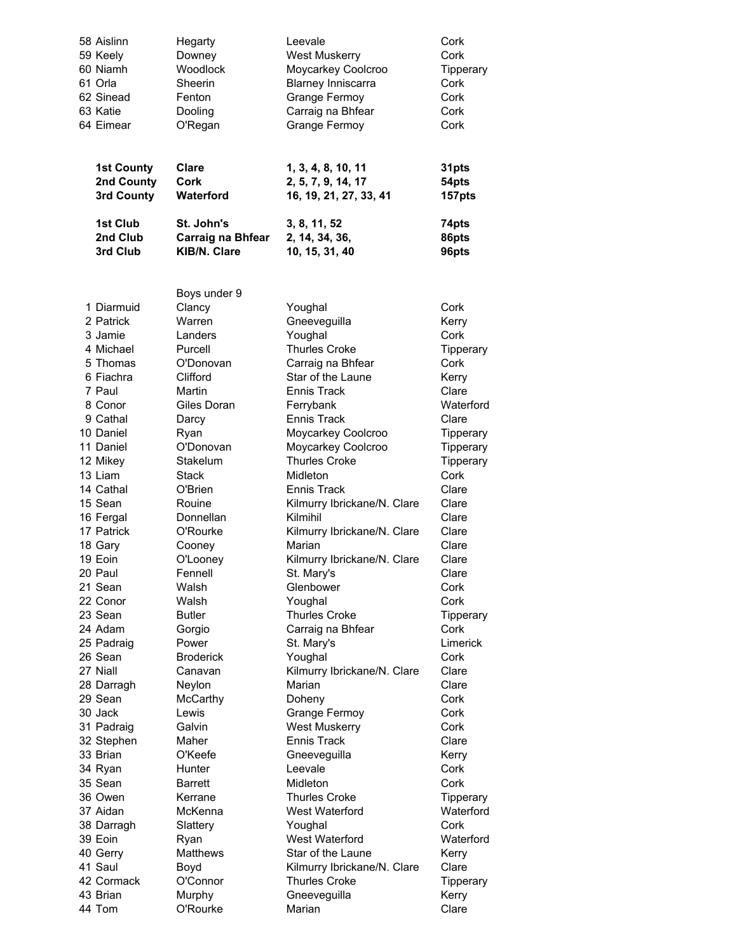| 58 Aislinn                                                                                    | Hegarty                                                                                                  | Leevale                                                                                                                                 | Cork                                                                      |
|-----------------------------------------------------------------------------------------------|----------------------------------------------------------------------------------------------------------|-----------------------------------------------------------------------------------------------------------------------------------------|---------------------------------------------------------------------------|
| 59 Keely                                                                                      | Downey                                                                                                   | <b>West Muskerry</b>                                                                                                                    | Cork                                                                      |
| 60 Niamh                                                                                      | Woodlock                                                                                                 | Moycarkey Coolcroo                                                                                                                      | Tipperary                                                                 |
| 61 Orla                                                                                       | Sheerin                                                                                                  | <b>Blarney Inniscarra</b>                                                                                                               | Cork                                                                      |
| 62 Sinead                                                                                     | Fenton                                                                                                   | <b>Grange Fermoy</b>                                                                                                                    | Cork                                                                      |
| 63 Katie                                                                                      | Dooling                                                                                                  | Carraig na Bhfear                                                                                                                       | Cork                                                                      |
| 64 Eimear                                                                                     | O'Regan                                                                                                  | Grange Fermoy                                                                                                                           | Cork                                                                      |
| <b>1st County</b>                                                                             | Clare                                                                                                    | 1, 3, 4, 8, 10, 11                                                                                                                      | 31pts                                                                     |
| 2nd County                                                                                    | Cork                                                                                                     | 2, 5, 7, 9, 14, 17                                                                                                                      | 54pts                                                                     |
| 3rd County                                                                                    | <b>Waterford</b>                                                                                         | 16, 19, 21, 27, 33, 41                                                                                                                  | 157pts                                                                    |
| 1st Club                                                                                      | <b>St. John's</b>                                                                                        | 3, 8, 11, 52                                                                                                                            | 74pts                                                                     |
| 2nd Club                                                                                      | <b>Carraig na Bhfear</b>                                                                                 | 2, 14, 34, 36,                                                                                                                          | 86pts                                                                     |
| 3rd Club                                                                                      | KIB/N. Clare                                                                                             | 10, 15, 31, 40                                                                                                                          | 96pts                                                                     |
| 1 Diarmuid<br>2 Patrick<br>3 Jamie<br>4 Michael<br>5 Thomas<br>6 Fiachra<br>7 Paul<br>8 Conor | Boys under 9<br>Clancy<br>Warren<br>Landers<br>Purcell<br>O'Donovan<br>Clifford<br>Martin<br>Giles Doran | Youghal<br>Gneeveguilla<br>Youghal<br><b>Thurles Croke</b><br>Carraig na Bhfear<br>Star of the Laune<br><b>Ennis Track</b><br>Ferrybank | Cork<br>Kerry<br>Cork<br>Tipperary<br>Cork<br>Kerry<br>Clare<br>Waterford |
| 9 Cathal                                                                                      | Darcy                                                                                                    | <b>Ennis Track</b>                                                                                                                      | Clare                                                                     |
| 10 Daniel                                                                                     | Ryan                                                                                                     | Moycarkey Coolcroo                                                                                                                      | Tipperary                                                                 |
| 11 Daniel                                                                                     | O'Donovan                                                                                                | Moycarkey Coolcroo                                                                                                                      | Tipperary                                                                 |
| 12 Mikey                                                                                      | Stakelum                                                                                                 | <b>Thurles Croke</b>                                                                                                                    | Tipperary                                                                 |
| 13 Liam                                                                                       | <b>Stack</b>                                                                                             | Midleton                                                                                                                                | Cork                                                                      |
| 14 Cathal                                                                                     | O'Brien                                                                                                  | <b>Ennis Track</b>                                                                                                                      | Clare                                                                     |
| 15 Sean                                                                                       | Rouine                                                                                                   | Kilmurry Ibrickane/N. Clare                                                                                                             | Clare                                                                     |
| 16 Fergal                                                                                     | Donnellan                                                                                                | Kilmihil                                                                                                                                | Clare                                                                     |
| 17 Patrick                                                                                    | O'Rourke                                                                                                 | Kilmurry Ibrickane/N. Clare                                                                                                             | Clare                                                                     |
| 18 Gary                                                                                       | Cooney                                                                                                   | Marian                                                                                                                                  | Clare                                                                     |
| 19 Eoin                                                                                       | O'Looney                                                                                                 | Kilmurry Ibrickane/N. Clare                                                                                                             | Clare                                                                     |
| 20 Paul                                                                                       | Fennell                                                                                                  | St. Mary's                                                                                                                              | Clare                                                                     |
| 21 Sean                                                                                       | Walsh                                                                                                    | Glenbower                                                                                                                               | Cork                                                                      |
| 22 Conor                                                                                      | Walsh                                                                                                    | Youghal                                                                                                                                 | Cork                                                                      |
| 23 Sean                                                                                       | <b>Butler</b>                                                                                            | <b>Thurles Croke</b>                                                                                                                    | Tipperary                                                                 |
| 24 Adam                                                                                       | Gorgio                                                                                                   | Carraig na Bhfear                                                                                                                       | Cork                                                                      |
| 25 Padraig                                                                                    | Power                                                                                                    | St. Mary's                                                                                                                              | Limerick                                                                  |
| 26 Sean                                                                                       | <b>Broderick</b>                                                                                         | Youghal                                                                                                                                 | Cork                                                                      |
| 27 Niall                                                                                      | Canavan                                                                                                  | Kilmurry Ibrickane/N. Clare                                                                                                             | Clare                                                                     |
| 28 Darragh                                                                                    | Neylon                                                                                                   | Marian                                                                                                                                  | Clare                                                                     |
| 29 Sean                                                                                       | McCarthy                                                                                                 | Doheny                                                                                                                                  | Cork                                                                      |
| 30 Jack                                                                                       | Lewis                                                                                                    | <b>Grange Fermoy</b>                                                                                                                    | Cork                                                                      |
| 31 Padraig                                                                                    | Galvin                                                                                                   | <b>West Muskerry</b>                                                                                                                    | Cork                                                                      |
| 32 Stephen                                                                                    | Maher                                                                                                    | <b>Ennis Track</b>                                                                                                                      | Clare                                                                     |
| 33 Brian                                                                                      | O'Keefe                                                                                                  | Gneeveguilla                                                                                                                            | Kerry                                                                     |
| 34 Ryan                                                                                       | Hunter                                                                                                   | Leevale                                                                                                                                 | Cork                                                                      |
| 35 Sean                                                                                       | Barrett                                                                                                  | Midleton                                                                                                                                | Cork                                                                      |
| 36 Owen                                                                                       | Kerrane                                                                                                  | Thurles Croke                                                                                                                           | Tipperary                                                                 |
| 37 Aidan                                                                                      | McKenna                                                                                                  | West Waterford                                                                                                                          | Waterford                                                                 |
| 38 Darragh                                                                                    | Slattery                                                                                                 | Youghal                                                                                                                                 | Cork                                                                      |
| 39 Eoin                                                                                       | Ryan                                                                                                     | West Waterford                                                                                                                          | Waterford                                                                 |
| 40 Gerry                                                                                      | <b>Matthews</b>                                                                                          | Star of the Laune                                                                                                                       | Kerry                                                                     |
| 41 Saul                                                                                       | Boyd                                                                                                     | Kilmurry Ibrickane/N. Clare                                                                                                             | Clare                                                                     |
| 42 Cormack                                                                                    | O'Connor                                                                                                 | Thurles Croke                                                                                                                           | Tipperary                                                                 |
| 43 Brian                                                                                      | Murphy                                                                                                   | Gneeveguilla                                                                                                                            | Kerry                                                                     |
| 44 Tom                                                                                        | O'Rourke                                                                                                 | Marian                                                                                                                                  | Clare                                                                     |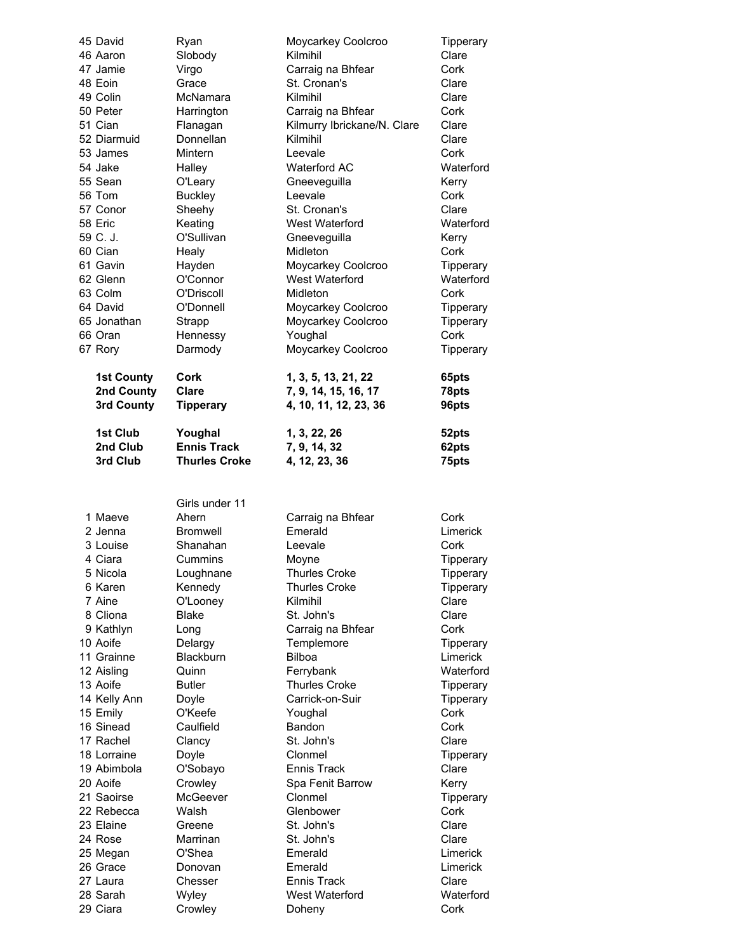| 45 David<br>46 Aaron<br>47 Jamie<br>48 Eoin<br>49 Colin<br>50 Peter<br>51 Cian<br>52 Diarmuid<br>53 James<br>54 Jake<br>55 Sean<br>56 Tom<br>57 Conor<br>58 Eric<br>59 C. J.<br>60 Cian<br>61 Gavin<br>62 Glenn<br>63 Colm<br>64 David<br>65 Jonathan<br>66 Oran<br>67 Rory<br><b>1st County</b><br>2nd County<br>3rd County | Ryan<br>Slobody<br>Virgo<br>Grace<br>McNamara<br>Harrington<br>Flanagan<br>Donnellan<br>Mintern<br>Halley<br>O'Leary<br><b>Buckley</b><br>Sheehy<br>Keating<br>O'Sullivan<br>Healy<br>Hayden<br>O'Connor<br>O'Driscoll<br>O'Donnell<br>Strapp<br>Hennessy<br>Darmody<br>Cork<br><b>Clare</b><br><b>Tipperary</b> | Moycarkey Coolcroo<br>Kilmihil<br>Carraig na Bhfear<br>St. Cronan's<br>Kilmihil<br>Carraig na Bhfear<br>Kilmurry Ibrickane/N. Clare<br>Kilmihil<br>Leevale<br>Waterford AC<br>Gneeveguilla<br>Leevale<br>St. Cronan's<br>West Waterford<br>Gneeveguilla<br>Midleton<br>Moycarkey Coolcroo<br>West Waterford<br>Midleton<br>Moycarkey Coolcroo<br>Moycarkey Coolcroo<br>Youghal<br>Moycarkey Coolcroo<br>1, 3, 5, 13, 21, 22<br>7, 9, 14, 15, 16, 17<br>4, 10, 11, 12, 23, 36 | Tipperary<br>Clare<br>Cork<br>Clare<br>Clare<br>Cork<br>Clare<br>Clare<br>Cork<br>Waterford<br>Kerry<br>Cork<br>Clare<br>Waterford<br>Kerry<br>Cork<br>Tipperary<br>Waterford<br>Cork<br>Tipperary<br>Tipperary<br>Cork<br>Tipperary<br>65pts<br>78pts<br>96pts |
|------------------------------------------------------------------------------------------------------------------------------------------------------------------------------------------------------------------------------------------------------------------------------------------------------------------------------|------------------------------------------------------------------------------------------------------------------------------------------------------------------------------------------------------------------------------------------------------------------------------------------------------------------|------------------------------------------------------------------------------------------------------------------------------------------------------------------------------------------------------------------------------------------------------------------------------------------------------------------------------------------------------------------------------------------------------------------------------------------------------------------------------|-----------------------------------------------------------------------------------------------------------------------------------------------------------------------------------------------------------------------------------------------------------------|
| 1st Club<br>2nd Club                                                                                                                                                                                                                                                                                                         | Youghal<br><b>Ennis Track</b>                                                                                                                                                                                                                                                                                    | 1, 3, 22, 26<br>7, 9, 14, 32                                                                                                                                                                                                                                                                                                                                                                                                                                                 | 52pts<br>62pts                                                                                                                                                                                                                                                  |
| 3rd Club                                                                                                                                                                                                                                                                                                                     | <b>Thurles Croke</b>                                                                                                                                                                                                                                                                                             | 4, 12, 23, 36                                                                                                                                                                                                                                                                                                                                                                                                                                                                | 75pts                                                                                                                                                                                                                                                           |
|                                                                                                                                                                                                                                                                                                                              | Girls under 11                                                                                                                                                                                                                                                                                                   |                                                                                                                                                                                                                                                                                                                                                                                                                                                                              |                                                                                                                                                                                                                                                                 |
| 1 Maeve                                                                                                                                                                                                                                                                                                                      | Ahern                                                                                                                                                                                                                                                                                                            | Carraig na Bhfear                                                                                                                                                                                                                                                                                                                                                                                                                                                            | Cork                                                                                                                                                                                                                                                            |
|                                                                                                                                                                                                                                                                                                                              |                                                                                                                                                                                                                                                                                                                  | Emerald                                                                                                                                                                                                                                                                                                                                                                                                                                                                      | Limerick                                                                                                                                                                                                                                                        |
| 2 Jenna                                                                                                                                                                                                                                                                                                                      | <b>Bromwell</b>                                                                                                                                                                                                                                                                                                  |                                                                                                                                                                                                                                                                                                                                                                                                                                                                              |                                                                                                                                                                                                                                                                 |
| 3 Louise                                                                                                                                                                                                                                                                                                                     | Shanahan                                                                                                                                                                                                                                                                                                         | Leevale                                                                                                                                                                                                                                                                                                                                                                                                                                                                      | Cork                                                                                                                                                                                                                                                            |
| 4 Ciara                                                                                                                                                                                                                                                                                                                      | Cummins                                                                                                                                                                                                                                                                                                          | Moyne                                                                                                                                                                                                                                                                                                                                                                                                                                                                        | Tipperary                                                                                                                                                                                                                                                       |
| 5 Nicola                                                                                                                                                                                                                                                                                                                     | Loughnane                                                                                                                                                                                                                                                                                                        | <b>Thurles Croke</b>                                                                                                                                                                                                                                                                                                                                                                                                                                                         | Tipperary                                                                                                                                                                                                                                                       |
| 6 Karen                                                                                                                                                                                                                                                                                                                      | Kennedy                                                                                                                                                                                                                                                                                                          | <b>Thurles Croke</b>                                                                                                                                                                                                                                                                                                                                                                                                                                                         | Tipperary                                                                                                                                                                                                                                                       |
| 7 Aine                                                                                                                                                                                                                                                                                                                       | O'Looney                                                                                                                                                                                                                                                                                                         | Kilmihil                                                                                                                                                                                                                                                                                                                                                                                                                                                                     | Clare                                                                                                                                                                                                                                                           |
| 8 Cliona                                                                                                                                                                                                                                                                                                                     | <b>Blake</b>                                                                                                                                                                                                                                                                                                     | St. John's                                                                                                                                                                                                                                                                                                                                                                                                                                                                   | Clare                                                                                                                                                                                                                                                           |
| 9 Kathlyn                                                                                                                                                                                                                                                                                                                    | Long                                                                                                                                                                                                                                                                                                             | Carraig na Bhfear                                                                                                                                                                                                                                                                                                                                                                                                                                                            | Cork                                                                                                                                                                                                                                                            |
| 10 Aoife                                                                                                                                                                                                                                                                                                                     | Delargy                                                                                                                                                                                                                                                                                                          | Templemore                                                                                                                                                                                                                                                                                                                                                                                                                                                                   | Tipperary                                                                                                                                                                                                                                                       |
| 11 Grainne                                                                                                                                                                                                                                                                                                                   | Blackburn                                                                                                                                                                                                                                                                                                        | <b>Bilboa</b>                                                                                                                                                                                                                                                                                                                                                                                                                                                                | Limerick                                                                                                                                                                                                                                                        |
| 12 Aisling                                                                                                                                                                                                                                                                                                                   | Quinn                                                                                                                                                                                                                                                                                                            | Ferrybank                                                                                                                                                                                                                                                                                                                                                                                                                                                                    | Waterford                                                                                                                                                                                                                                                       |
| 13 Aoife                                                                                                                                                                                                                                                                                                                     | <b>Butler</b>                                                                                                                                                                                                                                                                                                    | <b>Thurles Croke</b><br>Carrick-on-Suir                                                                                                                                                                                                                                                                                                                                                                                                                                      | Tipperary                                                                                                                                                                                                                                                       |
| 14 Kelly Ann<br>15 Emily                                                                                                                                                                                                                                                                                                     | Doyle<br>O'Keefe                                                                                                                                                                                                                                                                                                 | Youghal                                                                                                                                                                                                                                                                                                                                                                                                                                                                      | Tipperary<br>Cork                                                                                                                                                                                                                                               |
| 16 Sinead                                                                                                                                                                                                                                                                                                                    | Caulfield                                                                                                                                                                                                                                                                                                        | Bandon                                                                                                                                                                                                                                                                                                                                                                                                                                                                       | Cork                                                                                                                                                                                                                                                            |
| 17 Rachel                                                                                                                                                                                                                                                                                                                    | Clancy                                                                                                                                                                                                                                                                                                           | St. John's                                                                                                                                                                                                                                                                                                                                                                                                                                                                   | Clare                                                                                                                                                                                                                                                           |
| 18 Lorraine                                                                                                                                                                                                                                                                                                                  | Doyle                                                                                                                                                                                                                                                                                                            | Clonmel                                                                                                                                                                                                                                                                                                                                                                                                                                                                      | Tipperary                                                                                                                                                                                                                                                       |
| 19 Abimbola                                                                                                                                                                                                                                                                                                                  | O'Sobayo                                                                                                                                                                                                                                                                                                         | <b>Ennis Track</b>                                                                                                                                                                                                                                                                                                                                                                                                                                                           | Clare                                                                                                                                                                                                                                                           |
| 20 Aoife                                                                                                                                                                                                                                                                                                                     | Crowley                                                                                                                                                                                                                                                                                                          | Spa Fenit Barrow                                                                                                                                                                                                                                                                                                                                                                                                                                                             | Kerry                                                                                                                                                                                                                                                           |
| 21 Saoirse                                                                                                                                                                                                                                                                                                                   | McGeever                                                                                                                                                                                                                                                                                                         | Clonmel                                                                                                                                                                                                                                                                                                                                                                                                                                                                      | Tipperary                                                                                                                                                                                                                                                       |
| 22 Rebecca                                                                                                                                                                                                                                                                                                                   | Walsh                                                                                                                                                                                                                                                                                                            | Glenbower                                                                                                                                                                                                                                                                                                                                                                                                                                                                    | Cork                                                                                                                                                                                                                                                            |
| 23 Elaine<br>24 Rose                                                                                                                                                                                                                                                                                                         | Greene<br>Marrinan                                                                                                                                                                                                                                                                                               | St. John's<br>St. John's                                                                                                                                                                                                                                                                                                                                                                                                                                                     | Clare<br>Clare                                                                                                                                                                                                                                                  |
|                                                                                                                                                                                                                                                                                                                              | O'Shea                                                                                                                                                                                                                                                                                                           | Emerald                                                                                                                                                                                                                                                                                                                                                                                                                                                                      | Limerick                                                                                                                                                                                                                                                        |
| 25 Megan<br>26 Grace                                                                                                                                                                                                                                                                                                         | Donovan                                                                                                                                                                                                                                                                                                          | Emerald                                                                                                                                                                                                                                                                                                                                                                                                                                                                      | Limerick                                                                                                                                                                                                                                                        |
| 27 Laura                                                                                                                                                                                                                                                                                                                     | Chesser                                                                                                                                                                                                                                                                                                          | <b>Ennis Track</b>                                                                                                                                                                                                                                                                                                                                                                                                                                                           | Clare                                                                                                                                                                                                                                                           |
| 28 Sarah<br>29 Ciara                                                                                                                                                                                                                                                                                                         | Wyley<br>Crowley                                                                                                                                                                                                                                                                                                 | West Waterford<br>Doheny                                                                                                                                                                                                                                                                                                                                                                                                                                                     | Waterford<br>Cork                                                                                                                                                                                                                                               |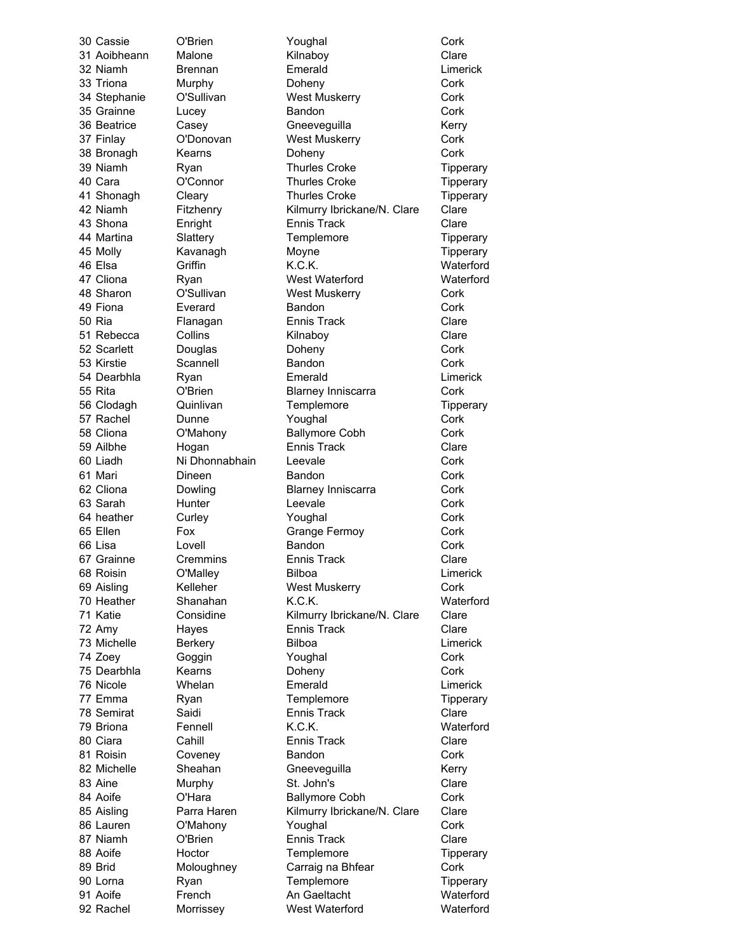30 Cassie O'Brien Youghal Cork 31 Aoibheann Malone Kilnaboy Clare 32 Niamh Brennan Emerald Limerick 33 Triona Murphy Doheny Cork 34 Stephanie O'Sullivan West Muskerry Cork 35 Grainne Lucey Bandon Cork 36 Beatrice Casey Gneeveguilla Kerry 37 Finlay C'Donovan West Muskerry Cork 38 Bronagh Kearns Doheny Cork 39 Niamh Ryan Thurles Croke Tipperary 40 Cara O'Connor Thurles Croke Tipperary 41 Shonagh Cleary Thurles Croke Tipperary 42 Niamh Fitzhenry Kilmurry Ibrickane/N. Clare Clare 43 Shona Enright Ennis Track Clare 44 Martina Slattery Templemore Tipperary 45 Molly **Kavanagh** Moyne More Mone Tipperary 46 Elsa Griffin K.C.K. Waterford 47 Cliona Ryan West Waterford Waterford 48 Sharon C'Sullivan West Muskerry Cork 49 Fiona Everard Bandon Cork 50 Ria Flanagan Ennis Track Clare 51 Rebecca Collins **Kilnaboy** Clare 52 Scarlett Douglas Doheny Cork 53 Kirstie Scannell Bandon Cork 54 Dearbhla Ryan Emerald Limerick 55 Rita O'Brien Blarney Inniscarra Cork 56 Clodagh Quinlivan Templemore Tipperary 57 Rachel Dunne **Youghal** Cork 58 Cliona O'Mahony Ballymore Cobh Cork 59 Ailbhe Hogan Ennis Track Clare 60 Liadh Ni Dhonnabhain Leevale Cork 61 Mari Dineen Bandon Cork 62 Cliona Dowling Blarney Inniscarra Cork 63 Sarah Hunter Leevale Cork 64 heather Curley **Curley Youghal** Cork 65 Ellen Fox Grange Fermoy Cork 66 Lisa Lovell Bandon Cork 67 Grainne Cremmins Ennis Track Clare 68 Roisin O'Malley Bilboa Limerick 69 Aisling Kelleher West Muskerry Cork 70 Heather Shanahan K.C.K. Waterford 71 Katie Considine Kilmurry Ibrickane/N. Clare Clare 72 Amy Hayes Ennis Track Clare 73 Michelle Berkery Bilboa Limerick 74 Zoey Goggin Youghal Cork 75 Dearbhla Kearns Doheny Cork 76 Nicole Whelan Emerald Limerick 77 Emma Ryan Templemore Tipperary 78 Semirat Saidi Ennis Track Clare 79 Briona Fennell K.C.K. Waterford 80 Ciara Cahill Ennis Track Clare 81 Roisin Coveney Bandon Cork 82 Michelle Sheahan Gneeveguilla Gheahan Kerry 83 Aine Murphy St. John's Clare 84 Aoife O'Hara Ballymore Cobh Cork 85 Aisling Parra Haren Kilmurry Ibrickane/N. Clare Clare 86 Lauren C'Mahony Youghal Cork 87 Niamh O'Brien Ennis Track Clare 88 Aoife **Hoctor** Templemore Templemore Tipperary 89 Brid Moloughney Carraig na Bhfear Cork 90 Lorna Ryan Ryan Templemore Tipperary 91 Aoife French An Gaeltacht Waterford 92 Rachel Morrissey West Waterford Waterford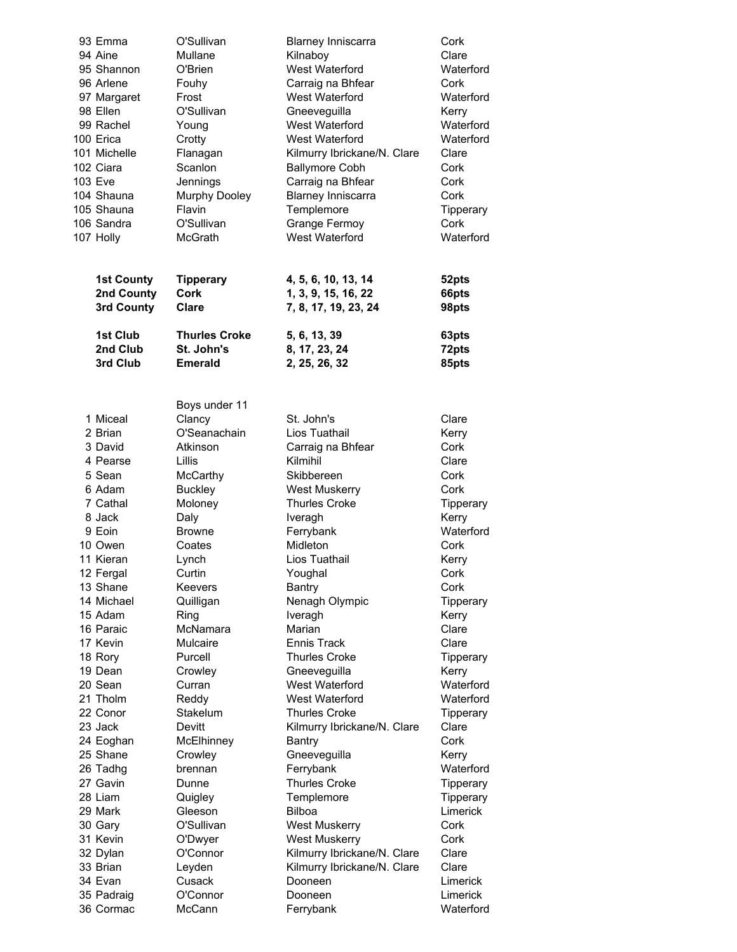| 93 Emma           | O'Sullivan           | <b>Blarney Inniscarra</b>   | Cork      |
|-------------------|----------------------|-----------------------------|-----------|
| 94 Aine           | Mullane              | Kilnaboy                    | Clare     |
| 95 Shannon        | O'Brien              | West Waterford              | Waterford |
| 96 Arlene         | Fouhy                | Carraig na Bhfear           | Cork      |
| 97 Margaret       | Frost                | West Waterford              | Waterford |
| 98 Ellen          | O'Sullivan           | Gneeveguilla                | Kerry     |
| 99 Rachel         |                      | West Waterford              | Waterford |
|                   | Young                |                             |           |
| 100 Erica         | Crotty               | West Waterford              | Waterford |
| 101 Michelle      | Flanagan             | Kilmurry Ibrickane/N. Clare | Clare     |
| 102 Ciara         | Scanlon              | <b>Ballymore Cobh</b>       | Cork      |
| 103 Eve           | Jennings             | Carraig na Bhfear           | Cork      |
| 104 Shauna        | Murphy Dooley        | <b>Blarney Inniscarra</b>   | Cork      |
| 105 Shauna        | Flavin               | Templemore                  | Tipperary |
| 106 Sandra        | O'Sullivan           | <b>Grange Fermoy</b>        | Cork      |
| 107 Holly         | McGrath              | West Waterford              | Waterford |
| <b>1st County</b> | <b>Tipperary</b>     | 4, 5, 6, 10, 13, 14         | 52pts     |
| 2nd County        | <b>Cork</b>          | 1, 3, 9, 15, 16, 22         | 66pts     |
|                   | <b>Clare</b>         |                             |           |
| 3rd County        |                      | 7, 8, 17, 19, 23, 24        | 98pts     |
| 1st Club          | <b>Thurles Croke</b> | 5, 6, 13, 39                | 63pts     |
| 2nd Club          | St. John's           | 8, 17, 23, 24               | 72pts     |
| 3rd Club          | <b>Emerald</b>       | 2, 25, 26, 32               | 85pts     |
|                   |                      |                             |           |
|                   |                      |                             |           |
|                   | Boys under 11        |                             |           |
| 1 Miceal          | Clancy               | St. John's                  | Clare     |
| 2 Brian           | O'Seanachain         | Lios Tuathail               | Kerry     |
| 3 David           | Atkinson             | Carraig na Bhfear           | Cork      |
| 4 Pearse          | Lillis               | Kilmihil                    | Clare     |
| 5 Sean            | McCarthy             | Skibbereen                  | Cork      |
| 6 Adam            | <b>Buckley</b>       | <b>West Muskerry</b>        | Cork      |
| 7 Cathal          | Moloney              | <b>Thurles Croke</b>        | Tipperary |
| 8 Jack            | Daly                 | Iveragh                     | Kerry     |
| 9 Eoin            | <b>Browne</b>        | Ferrybank                   | Waterford |
| 10 Owen           | Coates               | Midleton                    | Cork      |
| 11 Kieran         | Lynch                | Lios Tuathail               | Kerry     |
| 12 Fergal         | Curtin               | Youghal                     | Cork      |
| 13 Shane          | Keevers              | Bantry                      | Cork      |
| 14 Michael        | Quilligan            | Nenagh Olympic              | Tipperary |
| 15 Adam           | Ring                 | Iveragh                     | Kerry     |
| 16 Paraic         | McNamara             | Marian                      | Clare     |
| 17 Kevin          |                      |                             |           |
|                   | Mulcaire             | Ennis Track                 | Clare     |
| 18 Rory           | Purcell              | <b>Thurles Croke</b>        | Tipperary |
| 19 Dean           | Crowley              | Gneeveguilla                | Kerry     |
| 20 Sean           | Curran               | West Waterford              | Waterford |
| 21 Tholm          | Reddy                | West Waterford              | Waterford |
| 22 Conor          | Stakelum             | <b>Thurles Croke</b>        | Tipperary |
| 23 Jack           | Devitt               | Kilmurry Ibrickane/N. Clare | Clare     |
| 24 Eoghan         | McElhinney           | Bantry                      | Cork      |
| 25 Shane          | Crowley              | Gneeveguilla                | Kerry     |
| 26 Tadhg          | brennan              | Ferrybank                   | Waterford |
| 27 Gavin          | Dunne                | <b>Thurles Croke</b>        | Tipperary |
| 28 Liam           | Quigley              | Templemore                  | Tipperary |
| 29 Mark           | Gleeson              | <b>Bilboa</b>               | Limerick  |
| 30 Gary           | O'Sullivan           | <b>West Muskerry</b>        | Cork      |
| 31 Kevin          | O'Dwyer              | West Muskerry               | Cork      |
| 32 Dylan          | O'Connor             | Kilmurry Ibrickane/N. Clare | Clare     |
| 33 Brian          | Leyden               | Kilmurry Ibrickane/N. Clare | Clare     |
| 34 Evan           | Cusack               | Dooneen                     | Limerick  |
|                   |                      |                             |           |
| 35 Padraig        | O'Connor             | Dooneen                     | Limerick  |
| 36 Cormac         | McCann               | Ferrybank                   | Waterford |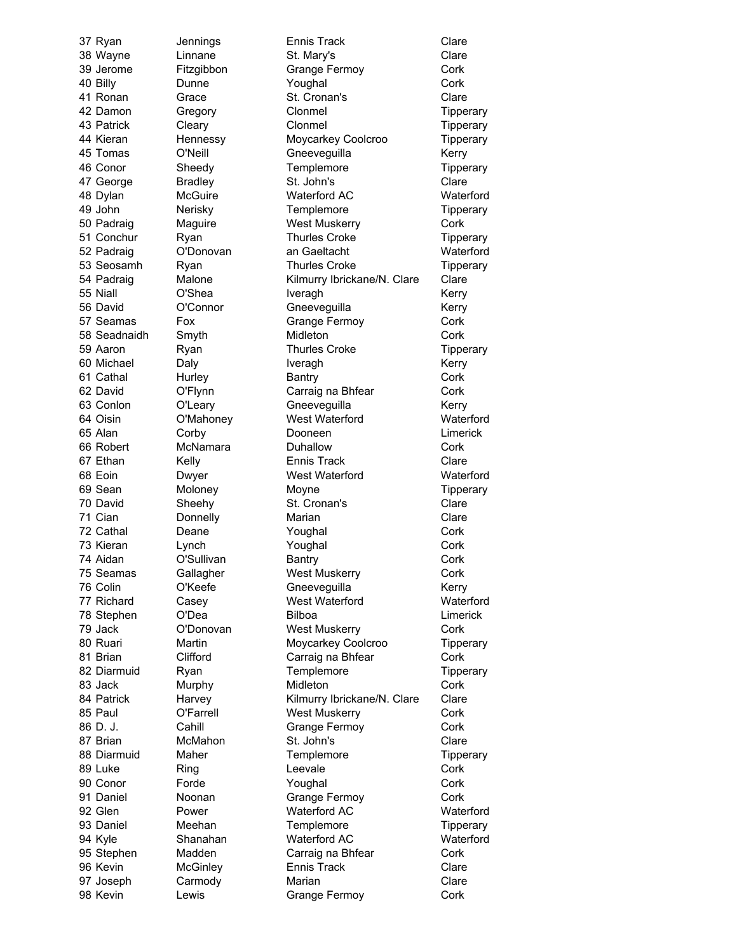37 Ryan Jennings Ennis Track Clare 38 Wayne Linnane St. Mary's Clare 39 Jerome Fitzgibbon Grange Fermoy Cork 40 Billy **Dunne Contact Contact Provide** Poughal **Contact Contact Contact Contact Cont** 41 Ronan Grace St. Cronan's Clare 42 Damon Gregory Clonmel Control Tipperary 43 Patrick Cleary Clonmel Control Clonment Clonment Clonment Clonment Clonment Clonment Clonment Clo 44 Kieran Hennessy Moycarkey Coolcroo Tipperary 45 Tomas O'Neill Gneeveguilla Kerry 46 Conor Sheedy Templemore Tipperary 47 George Bradley St. John's Clare 48 Dylan McGuire Waterford AC Waterford 49 John Nerisky Templemore Tipperary 50 Padraig Maguire **West Muskerry Cork** 51 Conchur Ryan Thurles Croke Tipperary 52 Padraig O'Donovan an Gaeltacht Waterford 53 Seosamh Ryan Thurles Croke Tipperary 54 Padraig Malone Kilmurry Ibrickane/N. Clare Clare 55 Niall **C'Shea** Iveragh **Internal C'Shea** Iveragh 56 David O'Connor Gneeveguilla Kerry 57 Seamas Fox Grange Fermoy Cork 58 Seadnaidh Smyth Midleton Cork 59 Aaron Ryan Ryan Thurles Croke Tipperary 60 Michael Daly **Daly** Iveragh **IVERGION** Kerry 61 Cathal Hurley Bantry Bantry Cork 62 David O'Flynn Carraig na Bhfear Cork 63 Conlon O'Leary Gneeveguilla Kerry 64 Oisin O'Mahoney West Waterford Waterford 65 Alan Corby Dooneen Limerick 66 Robert McNamara Duhallow Cork 67 Ethan Kelly **Ennis Track** Clare 68 Eoin Dwyer West Waterford Waterford 69 Sean Moloney Moyne Tipperary 70 David Sheehy St. Cronan's Clare 71 Cian Donnelly Marian Clare 72 Cathal Deane Youghal Cork 73 Kieran Lynch Youghal Cork 74 Aidan C'Sullivan Bantry Cork 75 Seamas Gallagher West Muskerry Cork 76 Colin C'Keefe Gneeveguilla Kerry 77 Richard Casey West Waterford Waterford 78 Stephen O'Dea Bilboa Limerick 79 Jack **O'Donovan** West Muskerry Cork 80 Ruari Martin Moycarkey Coolcroo Tipperary 81 Brian Clifford Carraig na Bhfear Cork 82 Diarmuid Ryan Templemore Tipperary 83 Jack Murphy Midleton Cork 84 Patrick Harvey Kilmurry Ibrickane/N. Clare Clare 85 Paul O'Farrell West Muskerry Cork 86 D. J. Cahill Grange Fermoy Cork 87 Brian McMahon St. John's Clare 88 Diarmuid Maher Templemore Tipperary 89 Luke Ring Ring Leevale Cork 90 Conor Forde Youghal Cork 91 Daniel Moonan Grange Fermoy Cork 92 Glen Power Waterford AC Waterford 93 Daniel Meehan Templemore Tipperary 94 Kyle Shanahan Waterford AC Waterford 95 Stephen Madden Carraig na Bhfear Cork 96 Kevin McGinley Ennis Track Clare 97 Joseph Carmody Marian Clare 98 Kevin Lewis Grange Fermoy Cork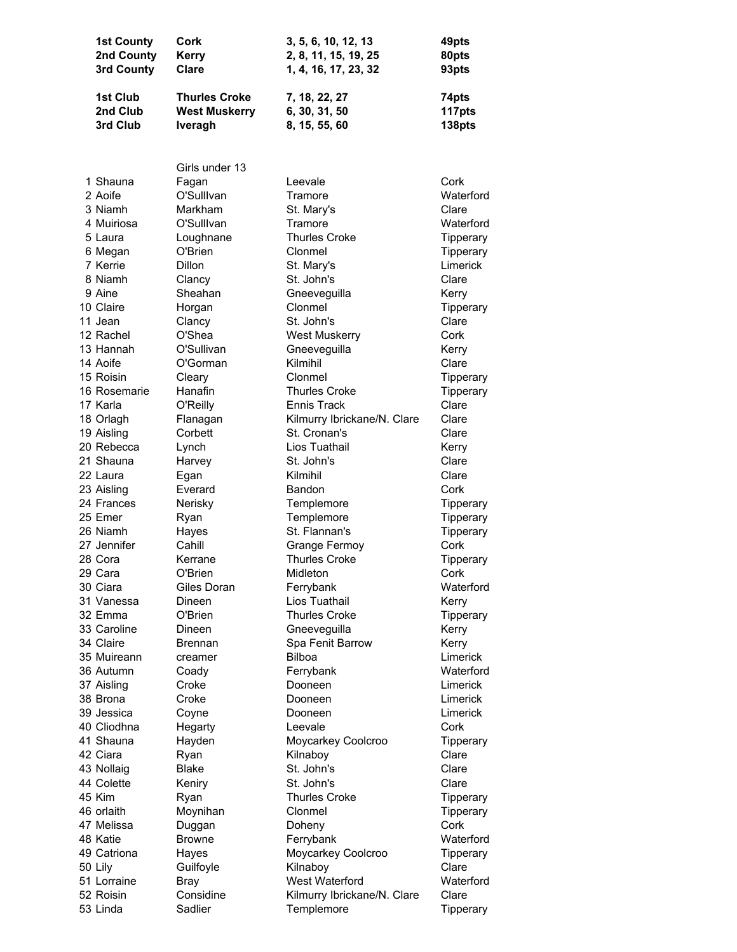| <b>1st County</b><br>2nd County<br>3rd County | Cork<br><b>Kerry</b><br>Clare                | 3, 5, 6, 10, 12, 13<br>2, 8, 11, 15, 19, 25<br>1, 4, 16, 17, 23, 32 | 49pts<br>80pts<br>93pts |
|-----------------------------------------------|----------------------------------------------|---------------------------------------------------------------------|-------------------------|
| 1st Club<br>2nd Club                          | <b>Thurles Croke</b><br><b>West Muskerry</b> | 7, 18, 22, 27<br>6, 30, 31, 50                                      | 74pts<br>117pts         |
| 3rd Club                                      | Iveragh                                      | 8, 15, 55, 60                                                       | 138pts                  |
|                                               |                                              |                                                                     |                         |
|                                               | Girls under 13                               |                                                                     |                         |
| 1 Shauna                                      | Fagan                                        | Leevale                                                             | Cork                    |
| 2 Aoife                                       | O'Sulllvan                                   | Tramore                                                             | Waterford               |
| 3 Niamh                                       | Markham                                      | St. Mary's                                                          | Clare                   |
| 4 Muiriosa                                    | O'Sulllvan                                   | Tramore<br><b>Thurles Croke</b>                                     | Waterford               |
| 5 Laura                                       | Loughnane<br>O'Brien                         | Clonmel                                                             | Tipperary               |
| 6 Megan<br>7 Kerrie                           | <b>Dillon</b>                                | St. Mary's                                                          | Tipperary<br>Limerick   |
| 8 Niamh                                       | Clancy                                       | St. John's                                                          | Clare                   |
| 9 Aine                                        | Sheahan                                      | Gneeveguilla                                                        | Kerry                   |
| 10 Claire                                     | Horgan                                       | Clonmel                                                             | Tipperary               |
| 11 Jean                                       | Clancy                                       | St. John's                                                          | Clare                   |
| 12 Rachel                                     | O'Shea                                       | <b>West Muskerry</b>                                                | Cork                    |
| 13 Hannah                                     | O'Sullivan                                   | Gneeveguilla                                                        | Kerry                   |
| 14 Aoife                                      | O'Gorman                                     | Kilmihil                                                            | Clare                   |
| 15 Roisin                                     | Cleary                                       | Clonmel                                                             | Tipperary               |
| 16 Rosemarie                                  | Hanafin                                      | <b>Thurles Croke</b>                                                | Tipperary               |
| 17 Karla                                      | O'Reilly                                     | Ennis Track                                                         | Clare                   |
| 18 Orlagh                                     | Flanagan                                     | Kilmurry Ibrickane/N. Clare                                         | Clare                   |
| 19 Aisling                                    | Corbett                                      | St. Cronan's                                                        | Clare                   |
| 20 Rebecca                                    | Lynch                                        | Lios Tuathail                                                       | Kerry                   |
| 21 Shauna                                     | Harvey                                       | St. John's                                                          | Clare                   |
| 22 Laura                                      | Egan                                         | Kilmihil                                                            | Clare                   |
| 23 Aisling                                    | Everard                                      | <b>Bandon</b>                                                       | Cork                    |
| 24 Frances                                    | Nerisky                                      | Templemore                                                          | Tipperary               |
| 25 Emer                                       | Ryan                                         | Templemore                                                          | Tipperary               |
| 26 Niamh                                      | Hayes                                        | St. Flannan's                                                       | Tipperary               |
| 27 Jennifer                                   | Cahill                                       | Grange Fermoy                                                       | Cork                    |
| 28 Cora                                       | Kerrane                                      | <b>Thurles Croke</b>                                                | Tipperary               |
| 29 Cara                                       | O'Brien                                      | Midleton                                                            | Cork                    |
| 30 Ciara                                      | Giles Doran                                  | Ferrybank                                                           | Waterford               |
| 31 Vanessa                                    | Dineen                                       | Lios Tuathail                                                       | Kerry                   |
| 32 Emma                                       | O'Brien                                      | <b>Thurles Croke</b>                                                | Tipperary               |
| 33 Caroline<br>34 Claire                      | Dineen                                       | Gneeveguilla                                                        | Kerry                   |
| 35 Muireann                                   | Brennan<br>creamer                           | Spa Fenit Barrow<br><b>Bilboa</b>                                   | Kerry<br>Limerick       |
| 36 Autumn                                     | Coady                                        | Ferrybank                                                           | Waterford               |
| 37 Aisling                                    | Croke                                        | Dooneen                                                             | Limerick                |
| 38 Brona                                      | Croke                                        | Dooneen                                                             | Limerick                |
| 39 Jessica                                    | Coyne                                        | Dooneen                                                             | Limerick                |
| 40 Cliodhna                                   | Hegarty                                      | Leevale                                                             | Cork                    |
| 41 Shauna                                     | Hayden                                       | Moycarkey Coolcroo                                                  | Tipperary               |
| 42 Ciara                                      | Ryan                                         | Kilnaboy                                                            | Clare                   |
| 43 Nollaig                                    | <b>Blake</b>                                 | St. John's                                                          | Clare                   |
| 44 Colette                                    | Keniry                                       | St. John's                                                          | Clare                   |
| 45 Kim                                        | Ryan                                         | <b>Thurles Croke</b>                                                | Tipperary               |
| 46 orlaith                                    | Moynihan                                     | Clonmel                                                             | Tipperary               |
| 47 Melissa                                    | Duggan                                       | Doheny                                                              | Cork                    |
| 48 Katie                                      | <b>Browne</b>                                | Ferrybank                                                           | Waterford               |
| 49 Catriona                                   | Hayes                                        | Moycarkey Coolcroo                                                  | Tipperary               |
| 50 Lily                                       | Guilfoyle                                    | Kilnaboy                                                            | Clare                   |
| 51 Lorraine                                   | <b>Bray</b>                                  | West Waterford                                                      | Waterford               |
| 52 Roisin                                     | Considine                                    | Kilmurry Ibrickane/N. Clare                                         | Clare                   |
| 53 Linda                                      | Sadlier                                      | Templemore                                                          | Tipperary               |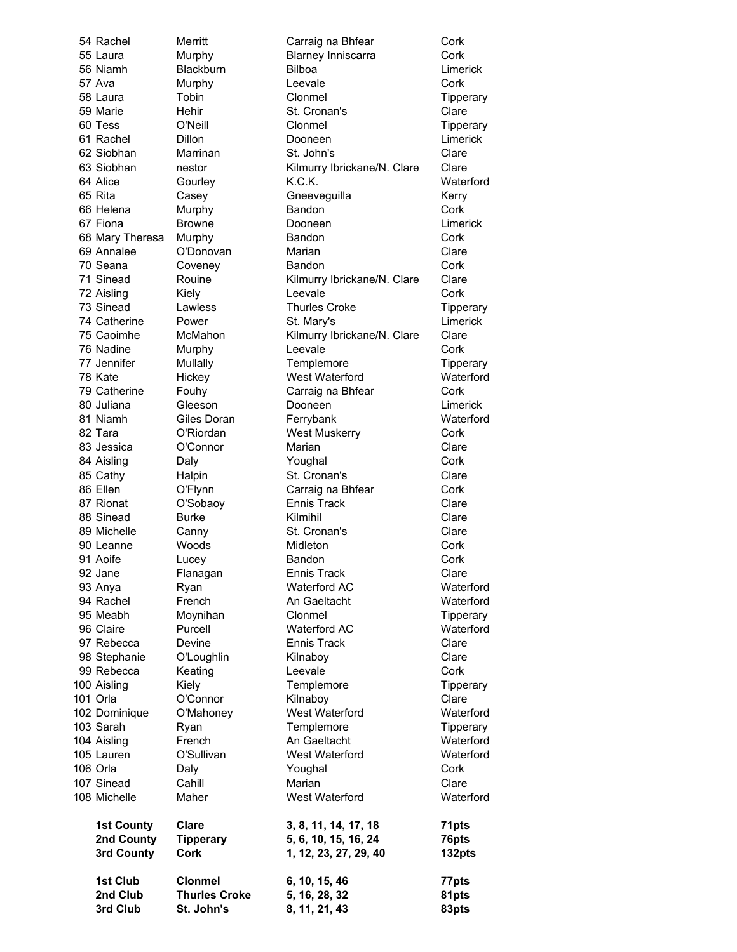3rd Club St. John's 8, 11, 21, 43 83pts

54 Rachel Merritt Carraig na Bhfear Cork 55 Laura Murphy Blarney Inniscarra Cork 56 Niamh Blackburn Bilboa Limerick 57 Ava Murphy Leevale Cork 58 Laura Tobin Clonmel Tipperary 59 Marie Fehir St. Cronan's Clare 60 Tess C'Neill Clonmel Control Tipperary 61 Rachel Dillon Dooneen Limerick 62 Siobhan Marrinan St. John's Clare 63 Siobhan nestor Kilmurry Ibrickane/N. Clare Clare 64 Alice Gourley K.C.K. Waterford 65 Rita Casey Gneeveguilla Kerry 66 Helena Murphy Bandon Cork 67 Fiona Browne Dooneen Limerick 68 Mary Theresa Murphy Bandon Bandon Cork 69 Annalee O'Donovan Marian Clare 70 Seana Coveney Bandon Cork 71 Sinead Rouine Kilmurry Ibrickane/N. Clare Clare 72 Aisling Kiely Leevale Cork 73 Sinead Lawless Thurles Croke Tipperary 74 Catherine Power St. Mary's Limerick 75 Caoimhe McMahon Kilmurry Ibrickane/N. Clare Clare 76 Nadine Murphy Leevale Cork 77 Jennifer Mullally Templemore Tipperary 78 Kate Hickey West Waterford Waterford 79 Catherine Fouhy Carraig na Bhfear Cork 80 Juliana Gleeson Dooneen Limerick 81 Niamh Giles Doran Ferrybank Waterford 82 Tara O'Riordan West Muskerry Cork 83 Jessica C'Connor Marian Marian Clare 84 Aisling Daly Daly Youghal Cork 85 Cathy Halpin St. Cronan's Clare 86 Ellen **O'Flynn** Carraig na Bhfear Cork 87 Rionat O'Sobaoy Ennis Track Clare 88 Sinead Burke Kilmihil Clare 89 Michelle Canny St. Cronan's Clare 90 Leanne Woods Midleton Cork 91 Aoife Lucey Bandon Cork 92 Jane Flanagan Ennis Track Clare 93 Anya Ryan Ryan Waterford AC Waterford 94 Rachel French An Gaeltacht Waterford 95 Meabh Moynihan Clonmel Tipperary 96 Claire Purcell Waterford AC Waterford 97 Rebecca Devine Ennis Track Clare 98 Stephanie O'Loughlin Kilnaboy Clare 99 Rebecca Keating Leevale Cork 100 Aisling Templemore Templemore Tipperary 101 Orla **O'Connor Connor** Kilnaboy **Clare** Clare 102 Dominique O'Mahoney West Waterford Waterford 103 Sarah Ryan Ryan Templemore Tipperary 104 Aisling French **An Gaeltacht** Waterford 105 Lauren O'Sullivan West Waterford Waterford 106 Orla Cork Daly **Contract Cork** Youghal Cork 107 Sinead Cahill **Cahill** Marian Clare 108 Michelle Maher West Waterford Waterford 1st County Clare 3, 8, 11, 14, 17, 18 71pts 2nd County Tipperary 5, 6, 10, 15, 16, 24 76pts 3rd County Cork 1, 12, 23, 27, 29, 40 132pts 1st Club Clonmel 6, 10, 15, 46 77pts 2nd Club Thurles Croke 5, 16, 28, 32 81pts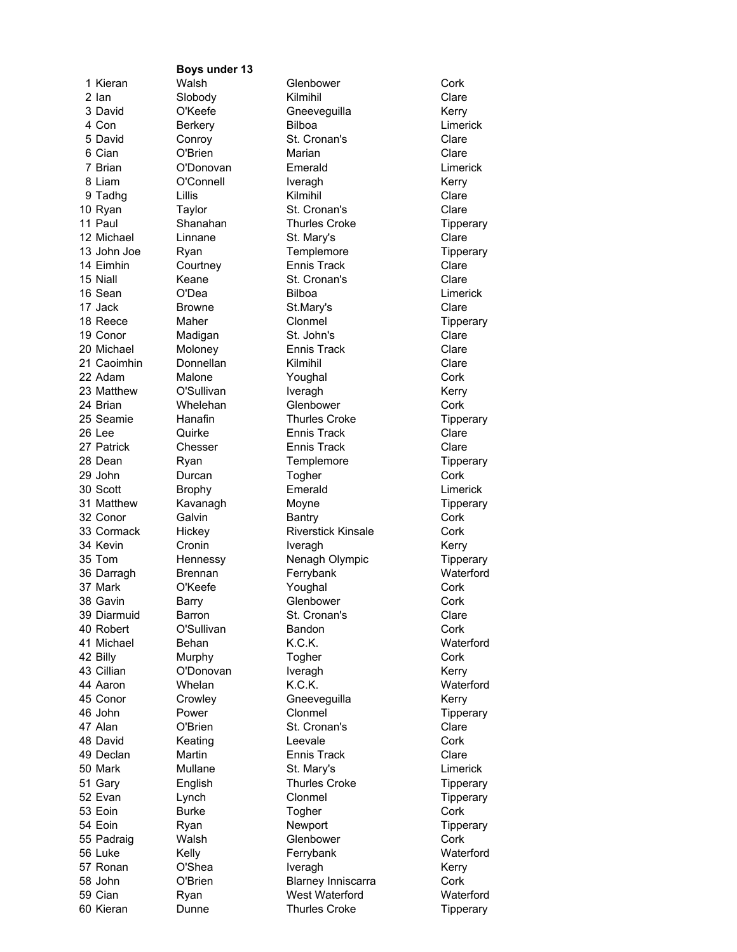Boys under 13

1 Kieran Malsh Glenbower Cork 2 Ian Slobody Kilmihil Clare 3 David C'Keefe Gneeveguilla Kerry 4 Con and Berkery Bilboa and Bilboa Limerick 5 David Conroy St. Cronan's Clare 6 Cian O'Brien Marian Clare 7 Brian O'Donovan Emerald Limerick 8 Liam O'Connell Iveragh Kerry 9 Tadhg Lillis Kilmihil Clare 10 Ryan Taylor St. Cronan's Clare 11 Paul Shanahan Thurles Croke Tipperary 12 Michael Linnane St. Mary's Clare 13 John Joe Ryan **Templemore** Templemore Tipperary 14 Eimhin Courtney **Ennis Track** Clare 15 Niall Keane St. Cronan's Clare 16 Sean O'Dea Bilboa Limerick 17 Jack Browne St.Mary's St.Mary's Clare 18 Reece Maher Clonmel Control Tipperary 19 Conor Madigan St. John's Clare 20 Michael Moloney Ennis Track Clare 21 Caoimhin Donnellan Kilmihil Clare 22 Adam Malone Youghal Cork 23 Matthew O'Sullivan Iveragh Iveragh Kerry 24 Brian Mhelehan Glenbower Cork 25 Seamie Hanafin Thurles Croke Tipperary 26 Lee Quirke Ennis Track Clare 27 Patrick Chesser Ennis Track Clare 28 Dean Ryan Ryan Templemore Tipperary 29 John Durcan Togher Cork 30 Scott Brophy **Emerald** Emerald Limerick 31 Matthew Kavanagh Moyne More Tipperary 32 Conor Galvin Bantry Cork 33 Cormack Hickey Riverstick Kinsale Cork 34 Kevin Cronin Iveragh Iveragh Kerry 35 Tom Hennessy Nenagh Olympic Tipperary 36 Darragh Brennan Ferrybank Waterford 37 Mark O'Keefe Youghal Cork 38 Gavin Barry Glenbower Cork 39 Diarmuid Barron St. Cronan's Clare 40 Robert O'Sullivan Bandon Cork 41 Michael Behan K.C.K. Waterford 42 Billy Murphy Togher Cork 43 Cillian **O'Donovan** Iveragh **Iveragh** Kerry 44 Aaron Whelan K.C.K. Waterford 45 Conor Crowley Gneeveguilla Kerry 46 John Power Clonmel Control Tipperary 47 Alan O'Brien St. Cronan's Clare 48 David Keating Leevale Cork 49 Declan Martin Ennis Track Clare 50 Mark Mullane St. Mary's Limerick 51 Gary English Thurles Croke Tipperary 52 Evan Lynch Clonmel Tipperary 53 Eoin Burke Togher Cork 54 Eoin Ryan Ryan Newport Tipperary 55 Padraig Walsh Glenbower Cork 56 Luke Kelly Ferrybank Waterford 57 Ronan O'Shea Iveragh Iveragh Kerry 58 John O'Brien Blarney Inniscarra Cork 59 Cian Ryan West Waterford Waterford 60 Kieran Dunne Thurles Croke Tipperary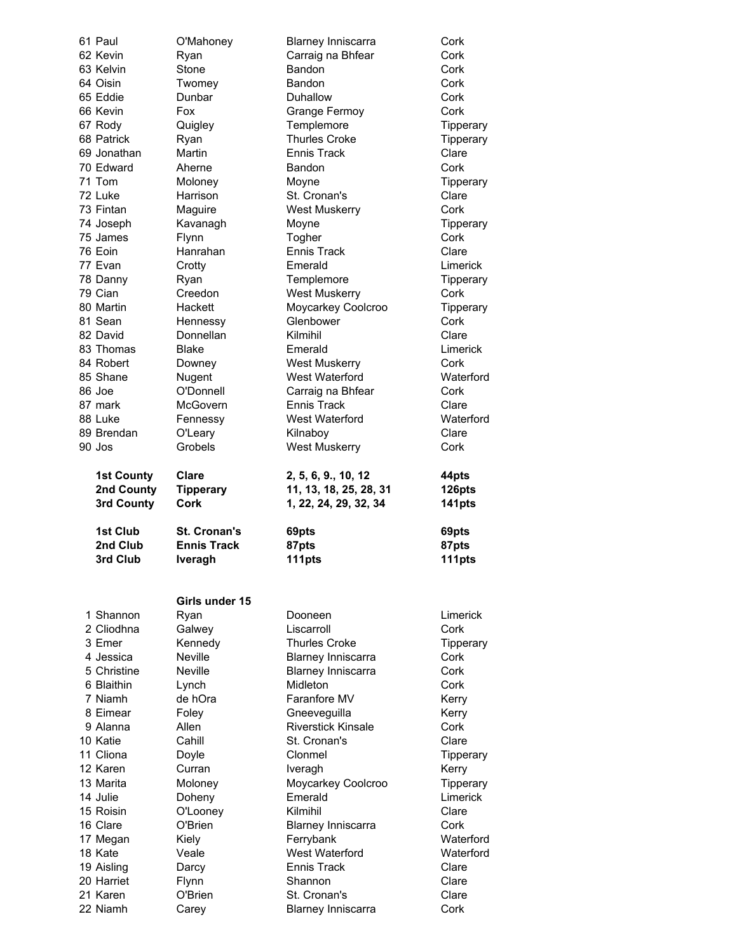| 61 Paul           | O'Mahoney           | <b>Blarney Inniscarra</b>                 | Cork      |
|-------------------|---------------------|-------------------------------------------|-----------|
| 62 Kevin          | Ryan                | Carraig na Bhfear                         | Cork      |
| 63 Kelvin         | Stone               | Bandon                                    | Cork      |
| 64 Oisin          |                     | Bandon                                    | Cork      |
|                   | Twomey              |                                           |           |
| 65 Eddie          | Dunbar              | Duhallow                                  | Cork      |
| 66 Kevin          | Fox                 | Grange Fermoy                             | Cork      |
| 67 Rody           | Quigley             | Templemore                                | Tipperary |
| 68 Patrick        | Ryan                | <b>Thurles Croke</b>                      | Tipperary |
| 69 Jonathan       | Martin              | <b>Ennis Track</b>                        | Clare     |
|                   |                     |                                           |           |
| 70 Edward         | Aherne              | Bandon                                    | Cork      |
| 71 Tom            | Moloney             | Moyne                                     | Tipperary |
| 72 Luke           | Harrison            | St. Cronan's                              | Clare     |
| 73 Fintan         | Maguire             | <b>West Muskerry</b>                      | Cork      |
| 74 Joseph         | Kavanagh            | Moyne                                     | Tipperary |
| 75 James          | Flynn               | Togher                                    | Cork      |
|                   |                     |                                           |           |
| 76 Eoin           | Hanrahan            | Ennis Track                               | Clare     |
| 77 Evan           | Crotty              | Emerald                                   | Limerick  |
| 78 Danny          | Ryan                | Templemore                                | Tipperary |
| 79 Cian           | Creedon             | <b>West Muskerry</b>                      | Cork      |
| 80 Martin         | Hackett             | Moycarkey Coolcroo                        | Tipperary |
| 81 Sean           |                     | Glenbower                                 | Cork      |
|                   | Hennessy            |                                           |           |
| 82 David          | Donnellan           | Kilmihil                                  | Clare     |
| 83 Thomas         | Blake               | Emerald                                   | Limerick  |
| 84 Robert         | Downey              | <b>West Muskerry</b>                      | Cork      |
| 85 Shane          | Nugent              | West Waterford                            | Waterford |
| 86 Joe            | O'Donnell           | Carraig na Bhfear                         | Cork      |
| 87 mark           | McGovern            | Ennis Track                               | Clare     |
|                   |                     |                                           |           |
| 88 Luke           | Fennessy            | West Waterford                            | Waterford |
| 89 Brendan        | O'Leary             | Kilnaboy                                  | Clare     |
| 90 Jos            | Grobels             | <b>West Muskerry</b>                      | Cork      |
|                   |                     |                                           |           |
|                   |                     |                                           | 44pts     |
|                   |                     |                                           |           |
| <b>1st County</b> | Clare               | 2, 5, 6, 9., 10, 12                       |           |
| 2nd County        | <b>Tipperary</b>    | 11, 13, 18, 25, 28, 31                    | 126pts    |
| 3rd County        | <b>Cork</b>         | 1, 22, 24, 29, 32, 34                     | 141pts    |
|                   |                     |                                           |           |
| 1st Club          | <b>St. Cronan's</b> | 69pts                                     | 69pts     |
| 2nd Club          | <b>Ennis Track</b>  | 87pts                                     | 87pts     |
| 3rd Club          | <b>Iveragh</b>      | 111pts                                    | 111pts    |
|                   |                     |                                           |           |
|                   |                     |                                           |           |
|                   | Girls under 15      |                                           |           |
| 1 Shannon         | Ryan                | Dooneen                                   | Limerick  |
| 2 Cliodhna        | Galwey              | Liscarroll                                | Cork      |
| 3 Emer            |                     | Thurles Croke                             |           |
|                   | Kennedy             |                                           | Tipperary |
| 4 Jessica         | <b>Neville</b>      | <b>Blarney Inniscarra</b>                 | Cork      |
| 5 Christine       | <b>Neville</b>      | <b>Blarney Inniscarra</b>                 | Cork      |
| 6 Blaithin        | Lynch               | Midleton                                  | Cork      |
| 7 Niamh           | de hOra             | Faranfore MV                              | Kerry     |
| 8 Eimear          | Foley               | Gneeveguilla                              | Kerry     |
| 9 Alanna          | Allen               | <b>Riverstick Kinsale</b>                 | Cork      |
|                   |                     |                                           |           |
| 10 Katie          | Cahill              | St. Cronan's                              | Clare     |
| 11 Cliona         | Doyle               | Clonmel                                   | Tipperary |
| 12 Karen          | Curran              | Iveragh                                   | Kerry     |
| 13 Marita         | Moloney             | Moycarkey Coolcroo                        | Tipperary |
| 14 Julie          | Doheny              | Emerald                                   | Limerick  |
| 15 Roisin         | O'Looney            | Kilmihil                                  | Clare     |
| 16 Clare          | O'Brien             |                                           | Cork      |
|                   |                     | <b>Blarney Inniscarra</b>                 |           |
| 17 Megan          | Kiely               | Ferrybank                                 | Waterford |
| 18 Kate           | Veale               | West Waterford                            | Waterford |
| 19 Aisling        | Darcy               | Ennis Track                               | Clare     |
| 20 Harriet        | Flynn               | Shannon                                   | Clare     |
| 21 Karen          | O'Brien             | St. Cronan's<br><b>Blarney Inniscarra</b> | Clare     |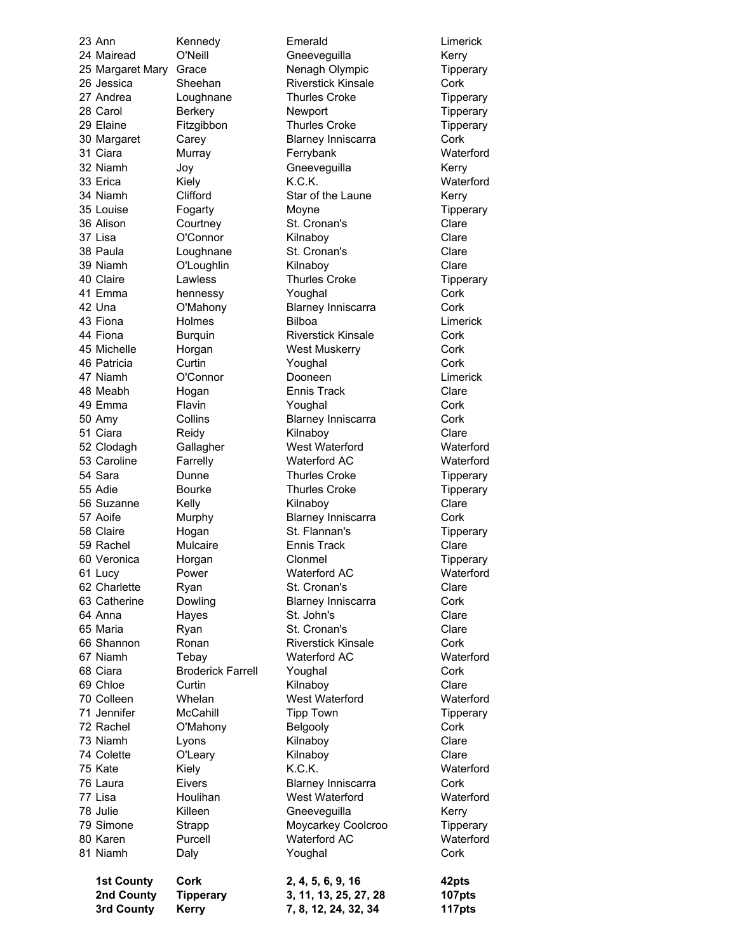23 Ann Kennedy Emerald Limerick 24 Mairead O'Neill Gneeveguilla Kerry 25 Margaret Mary Grace **Nenagh Olympic** Tipperary 26 Jessica Sheehan Riverstick Kinsale Cork 27 Andrea Loughnane Thurles Croke Tipperary 28 Carol Berkery Newport Newton Tipperary 29 Elaine Fitzgibbon Thurles Croke Tipperary 30 Margaret Carey Blarney Inniscarra Cork 31 Ciara Murray Ferrybank Waterford 32 Niamh Joy Gneeveguilla Kerry 33 Erica Kiely K.C.K. Waterford 34 Niamh Clifford Star of the Laune Kerry 35 Louise Fogarty Moyne Tipperary 36 Alison Courtney St. Cronan's Clare 37 Lisa O'Connor Kilnaboy Clare 38 Paula Loughnane St. Cronan's Clare 39 Niamh O'Loughlin Kilnaboy Clare 40 Claire Lawless Thurles Croke Tipperary 41 Emma hennessy Youghal Cork 42 Una O'Mahony Blarney Inniscarra Cork 43 Fiona Holmes Bilboa Limerick 44 Fiona Burquin Riverstick Kinsale Cork 45 Michelle Horgan West Muskerry Cork 46 Patricia Curtin Youghal Cork 47 Niamh O'Connor Dooneen Limerick 48 Meabh Hogan Ennis Track Clare 49 Emma Flavin Youghal Cork 50 Amy Collins Blarney Inniscarra Cork 51 Ciara Reidy Kilnaboy Clare 52 Clodagh Gallagher West Waterford Waterford 53 Caroline Farrelly Waterford AC Waterford 54 Sara **Dunne Thurles Croke** Thurles Croke **Tipperary** 55 Adie **Bourke** Thurles Croke Tipperary 56 Suzanne Kelly Kilnaboy Clare 57 Aoife Murphy Blarney Inniscarra Cork 58 Claire **Hogan** St. Flannan's Tipperary 59 Rachel Mulcaire Ennis Track Clare 60 Veronica Horgan Clonmel Tipperary 61 Lucy Power Waterford AC Waterford 62 Charlette Ryan St. Cronan's St. Cronanis Clare 63 Catherine Dowling Blarney Inniscarra Cork 64 Anna Hayes St. John's Clare 65 Maria **Ryan** Ryan St. Cronan's Clare 66 Shannon Ronan Riverstick Kinsale Cork 67 Niamh Tebay Waterford AC Waterford 68 Ciara Broderick Farrell Youghal Cork 69 Chloe Curtin Curtin Kilnaboy Clare 70 Colleen Whelan West Waterford Waterford 71 Jennifer McCahill Tipp Town Tipperary 72 Rachel O'Mahony Belgooly Cork 73 Niamh Lyons Kilnaboy Clare 74 Colette **O'Leary Kilnaboy Clare** Clare 75 Kate Kiely K.C.K. Waterford 76 Laura Eivers Blarney Inniscarra Cork 77 Lisa Houlihan West Waterford Waterford 78 Julie Killeen Gneeveguilla Kerry 79 Simone Strapp Moycarkey Coolcroo Tipperary 80 Karen Purcell Waterford AC Waterford 81 Niamh Daly **Youghal** Cork 1st County Cork 2, 4, 5, 6, 9, 16 42pts 2nd County Tipperary 3, 11, 13, 25, 27, 28 107pts 3rd County Kerry 7, 8, 12, 24, 32, 34 117pts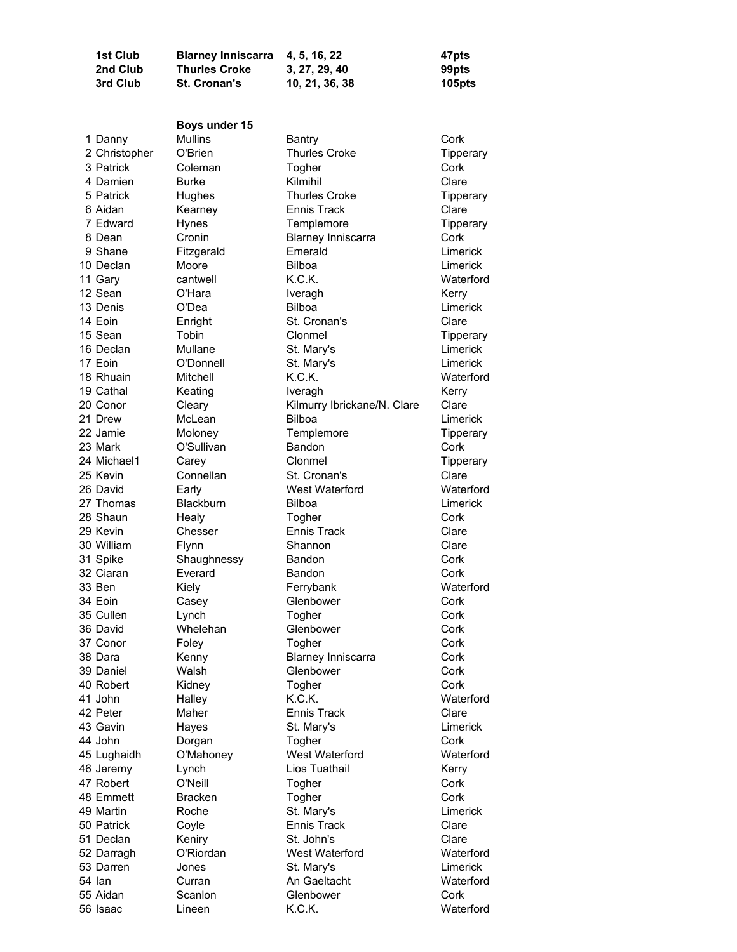| 2nd Club      | <b>Thurles Croke</b> | 3, 27, 29, 40               | 99pts     |
|---------------|----------------------|-----------------------------|-----------|
| 3rd Club      | <b>St. Cronan's</b>  | 10, 21, 36, 38              | 105pts    |
|               |                      |                             |           |
|               |                      |                             |           |
|               | Boys under 15        |                             |           |
| 1 Danny       | <b>Mullins</b>       | Bantry                      | Cork      |
| 2 Christopher | O'Brien              | <b>Thurles Croke</b>        | Tipperary |
| 3 Patrick     | Coleman              | Togher                      | Cork      |
| 4 Damien      | <b>Burke</b>         | Kilmihil                    | Clare     |
| 5 Patrick     | Hughes               | <b>Thurles Croke</b>        | Tipperary |
| 6 Aidan       | Kearney              | <b>Ennis Track</b>          | Clare     |
| 7 Edward      | Hynes                | Templemore                  | Tipperary |
| 8 Dean        | Cronin               | <b>Blarney Inniscarra</b>   | Cork      |
| 9 Shane       | Fitzgerald           | Emerald                     | Limerick  |
| 10 Declan     | Moore                | <b>Bilboa</b>               | Limerick  |
| 11 Gary       | cantwell             | K.C.K.                      | Waterford |
| 12 Sean       | O'Hara               | Iveragh                     | Kerry     |
| 13 Denis      | O'Dea                | <b>Bilboa</b>               | Limerick  |
| 14 Eoin       | Enright              | St. Cronan's                | Clare     |
| 15 Sean       | Tobin                | Clonmel                     | Tipperary |
| 16 Declan     | Mullane              | St. Mary's                  | Limerick  |
| 17 Eoin       | O'Donnell            | St. Mary's                  | Limerick  |
| 18 Rhuain     | Mitchell             | K.C.K.                      | Waterford |
| 19 Cathal     | Keating              | Iveragh                     | Kerry     |
| 20 Conor      | Cleary               | Kilmurry Ibrickane/N. Clare | Clare     |
| 21 Drew       | McLean               | <b>Bilboa</b>               | Limerick  |
| 22 Jamie      | Moloney              | Templemore                  | Tipperary |
| 23 Mark       | O'Sullivan           | Bandon                      | Cork      |
| 24 Michael1   | Carey                | Clonmel                     | Tipperary |
| 25 Kevin      | Connellan            | St. Cronan's                | Clare     |
| 26 David      | Early                | West Waterford              | Waterford |
| 27 Thomas     | Blackburn            | <b>Bilboa</b>               | Limerick  |
| 28 Shaun      | Healy                | Togher                      | Cork      |
| 29 Kevin      | Chesser              | Ennis Track                 | Clare     |
| 30 William    | Flynn                | Shannon                     | Clare     |
| 31 Spike      | Shaughnessy          | Bandon                      | Cork      |
| 32 Ciaran     | Everard              | Bandon                      | Cork      |
| 33 Ben        | Kiely                | Ferrybank                   | Waterford |
| 34 Eoin       | Casey                | Glenbower                   | Cork      |
| 35 Cullen     | Lynch                | Togher                      | Cork      |
| 36 David      | Whelehan             | Glenbower                   | Cork      |
| 37 Conor      | Foley                | Togher                      | Cork      |
| 38 Dara       | Kenny                | <b>Blarney Inniscarra</b>   | Cork      |
| 39 Daniel     | Walsh                | Glenbower                   | Cork      |
| 40 Robert     | Kidney               | Togher                      | Cork      |
| 41 John       | Halley               | K.C.K.                      | Waterford |
| 42 Peter      | Maher                | Ennis Track                 | Clare     |
| 43 Gavin      | Hayes                | St. Mary's                  | Limerick  |
| 44 John       | Dorgan               | Togher                      | Cork      |
| 45 Lughaidh   | O'Mahoney            | West Waterford              | Waterford |
| 46 Jeremy     | Lynch                | Lios Tuathail               | Kerry     |
| 47 Robert     | O'Neill              | Togher                      | Cork      |
| 48 Emmett     | <b>Bracken</b>       | Togher                      | Cork      |
| 49 Martin     | Roche                | St. Mary's                  | Limerick  |
| 50 Patrick    | Coyle                | <b>Ennis Track</b>          | Clare     |
| 51 Declan     | Keniry               | St. John's                  | Clare     |
| 52 Darragh    | O'Riordan            | West Waterford              | Waterford |
| 53 Darren     | Jones                | St. Mary's                  | Limerick  |
| 54 lan        | Curran               | An Gaeltacht                | Waterford |
| 55 Aidan      | Scanlon              | Glenbower                   | Cork      |
| 56 Isaac      | Lineen               | K.C.K.                      | Waterford |

1st Club Blarney Inniscarra 4, 5, 16, 22 47pts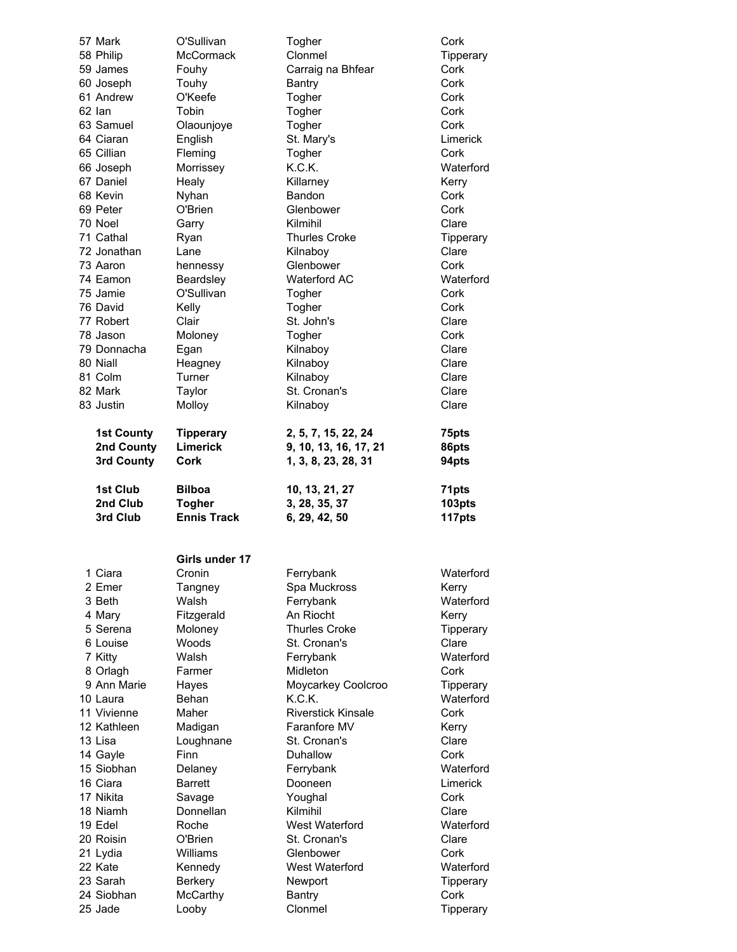| 57 Mark           | O'Sullivan         | Togher                | Cork      |
|-------------------|--------------------|-----------------------|-----------|
| 58 Philip         | <b>McCormack</b>   | Clonmel               | Tipperary |
| 59 James          | Fouhy              | Carraig na Bhfear     | Cork      |
| 60 Joseph         | Touhy              | Bantry                | Cork      |
| 61 Andrew         | O'Keefe            | Togher                | Cork      |
| 62 lan            | Tobin              | Togher                | Cork      |
| 63 Samuel         | Olaounjoye         | Togher                | Cork      |
| 64 Ciaran         | English            | St. Mary's            | Limerick  |
| 65 Cillian        | Fleming            | Togher                | Cork      |
| 66 Joseph         | Morrissey          | K.C.K.                | Waterford |
| 67 Daniel         | Healy              | Killarney             | Kerry     |
| 68 Kevin          | Nyhan              | Bandon                | Cork      |
| 69 Peter          | O'Brien            | Glenbower             | Cork      |
| 70 Noel           | Garry              | Kilmihil              | Clare     |
| 71 Cathal         | Ryan               | <b>Thurles Croke</b>  | Tipperary |
| 72 Jonathan       | Lane               | Kilnaboy              | Clare     |
| 73 Aaron          | hennessy           | Glenbower             | Cork      |
| 74 Eamon          | Beardsley          | <b>Waterford AC</b>   | Waterford |
| 75 Jamie          | O'Sullivan         | Togher                | Cork      |
| 76 David          | Kelly              | Togher                | Cork      |
| 77 Robert         | Clair              | St. John's            | Clare     |
| 78 Jason          | Moloney            | Togher                | Cork      |
| 79 Donnacha       | Egan               | Kilnaboy              | Clare     |
| 80 Niall          | Heagney            | Kilnaboy              | Clare     |
| 81 Colm           | Turner             | Kilnaboy              | Clare     |
| 82 Mark           | Taylor             | St. Cronan's          | Clare     |
| 83 Justin         | Molloy             | Kilnaboy              | Clare     |
| <b>1st County</b> | <b>Tipperary</b>   | 2, 5, 7, 15, 22, 24   | 75pts     |
| 2nd County        | <b>Limerick</b>    | 9, 10, 13, 16, 17, 21 | 86pts     |
| 3rd County        | Cork               | 1, 3, 8, 23, 28, 31   | 94pts     |
|                   |                    |                       |           |
| 1st Club          | <b>Bilboa</b>      | 10, 13, 21, 27        | 71pts     |
| 2nd Club          | <b>Togher</b>      | 3, 28, 35, 37         | 103pts    |
| 3rd Club          | <b>Ennis Track</b> | 6, 29, 42, 50         | 117pts    |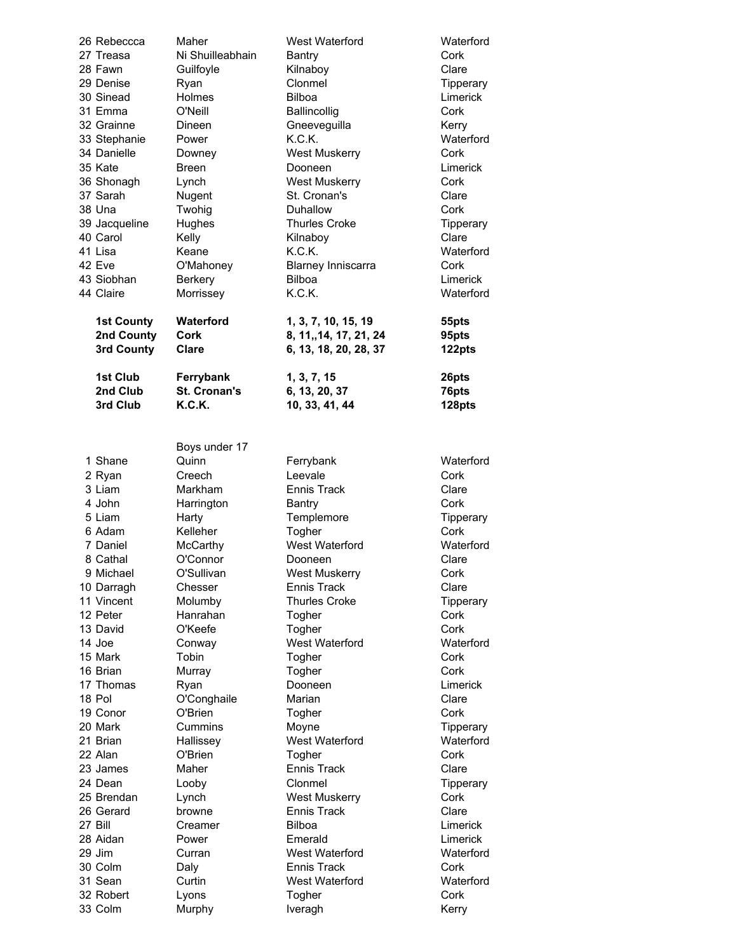| 26 Rebeccca              | Maher              | West Waterford            | Waterford          |
|--------------------------|--------------------|---------------------------|--------------------|
| 27 Treasa                | Ni Shuilleabhain   | Bantry                    | Cork               |
| 28 Fawn                  | Guilfoyle          | Kilnaboy                  | Clare              |
| 29 Denise                | Ryan               | Clonmel                   | Tipperary          |
| 30 Sinead                | Holmes             | Bilboa                    | Limerick           |
| 31 Emma                  | O'Neill            | Ballincollig              | Cork               |
| 32 Grainne               | Dineen             | Gneeveguilla              | Kerry              |
| 33 Stephanie             | Power              | K.C.K.                    | Waterford          |
| 34 Danielle              | Downey             | <b>West Muskerry</b>      | Cork               |
| 35 Kate                  | <b>Breen</b>       | Dooneen                   | Limerick           |
| 36 Shonagh               | Lynch              | <b>West Muskerry</b>      | Cork               |
| 37 Sarah                 | Nugent             | St. Cronan's              | Clare              |
| 38 Una                   | Twohig             | Duhallow                  | Cork               |
| 39 Jacqueline            | Hughes             | <b>Thurles Croke</b>      | Tipperary          |
| 40 Carol                 | Kelly              | Kilnaboy                  | Clare              |
| 41 Lisa                  | Keane              | K.C.K.                    | Waterford          |
| 42 Eve                   | O'Mahoney          | <b>Blarney Inniscarra</b> | Cork               |
| 43 Siobhan               | Berkery            | Bilboa                    | Limerick           |
| 44 Claire                | Morrissey          | K.C.K.                    | Waterford          |
| <b>1st County</b>        | Waterford          | 1, 3, 7, 10, 15, 19       | 55pts              |
| 2nd County               | Cork               | 8, 11,, 14, 17, 21, 24    | 95pts              |
| 3rd County               | Clare              | 6, 13, 18, 20, 28, 37     | 122pts             |
| 1st Club                 | Ferrybank          | 1, 3, 7, 15               | 26pts              |
| 2nd Club                 | St. Cronan's       | 6, 13, 20, 37             | 76pts              |
| 3rd Club                 | K.C.K.             | 10, 33, 41, 44            | 128pts             |
|                          |                    |                           |                    |
|                          | Boys under 17      |                           |                    |
| 1 Shane                  | Quinn              | Ferrybank                 | Waterford          |
| 2 Ryan                   | Creech             | Leevale                   | Cork               |
| 3 Liam                   | Markham            | <b>Ennis Track</b>        | Clare              |
| 4 John                   | Harrington         | Bantry                    | Cork               |
| 5 Liam                   | Harty              | Templemore                | Tipperary          |
| 6 Adam                   | Kelleher           | Togher                    | Cork               |
| 7 Daniel                 | McCarthy           | West Waterford            | Waterford          |
| 8 Cathal                 | O'Connor           | Dooneen                   | Clare              |
| 9 Michael                |                    |                           |                    |
|                          | O'Sullivan         | <b>West Muskerry</b>      | Cork               |
| 10 Darragh<br>11 Vincent | Chesser<br>Molumby | <b>Ennis Track</b>        | Clare<br>Tipperary |

12 Peter Hanrahan Togher

Hallissey West Waterford

11 Vincent Molumby Thurles Croke Tipperary<br>12 Peter Hanrahan Togher Cork 13 David O'Keefe Togher Cork 14 Joe Conway West Waterford Waterford 15 Mark Tobin **Togher** Cork 16 Brian Murray Togher Cork 17 Thomas Ryan **Dooneen** Limerick 18 Pol Conghaile Marian Clare 19 Conor C'Brien Togher Cork 20 Mark Cummins Moyne Tipperary 22 Alan C'Brien Togher Cork 23 James Maher Ennis Track Clare 24 Dean Looby Clonmel Tipperary 25 Brendan Lynch West Muskerry Cork 26 Gerard browne Ennis Track Clare 27 Bill Creamer Bilboa Limerick 28 Aidan **Power Emerald** Emerald **Limerick** 29 Jim Curran West Waterford Waterford 30 Colm Daly **Daly** Ennis Track Cork 31 Sean Curtin West Waterford Waterford 32 Robert Lyons Togher Cork 33 Colm Murphy Iveragh Nerry Kerry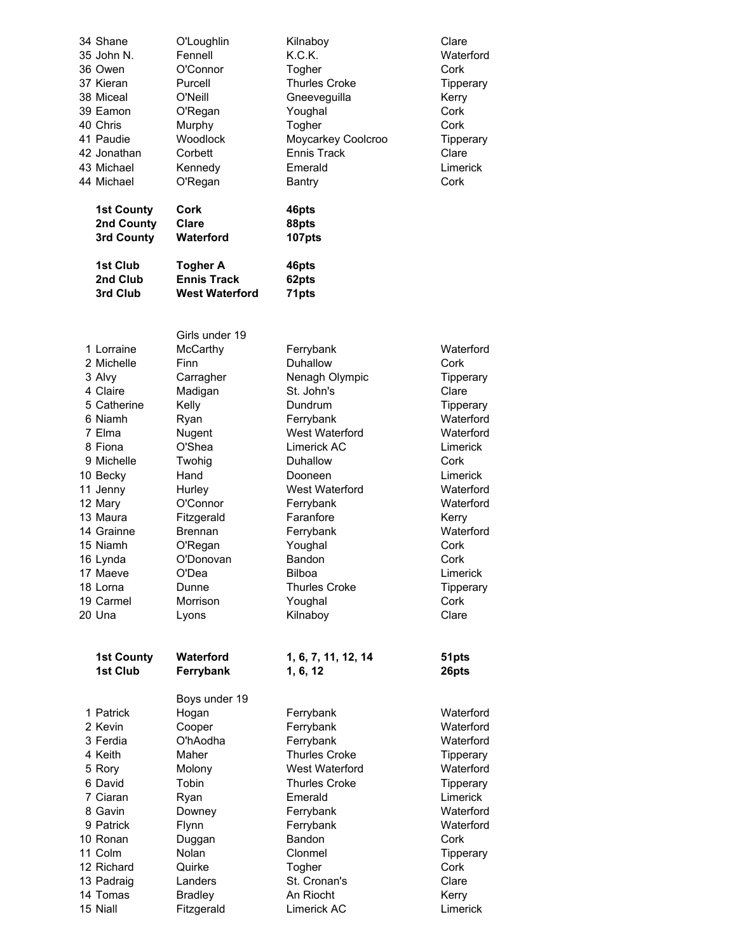| 34 Shane<br>35 John N.<br>36 Owen<br>37 Kieran<br>38 Miceal<br>39 Eamon<br>40 Chris<br>41 Paudie<br>42 Jonathan<br>43 Michael<br>44 Michael                                                                                                     | O'Loughlin<br>Fennell<br>O'Connor<br>Purcell<br>O'Neill<br>O'Regan<br>Murphy<br>Woodlock<br>Corbett<br>Kennedy<br>O'Regan                                                                                                              | Kilnaboy<br>K.C.K.<br>Togher<br><b>Thurles Croke</b><br>Gneeveguilla<br>Youghal<br>Togher<br>Moycarkey Coolcroo<br><b>Ennis Track</b><br>Emerald<br>Bantry                                                                                                                   | Clare<br>Waterford<br>Cork<br>Tipperary<br>Kerry<br>Cork<br>Cork<br>Tipperary<br>Clare<br>Limerick<br>Cork                                                                                                               |
|-------------------------------------------------------------------------------------------------------------------------------------------------------------------------------------------------------------------------------------------------|----------------------------------------------------------------------------------------------------------------------------------------------------------------------------------------------------------------------------------------|------------------------------------------------------------------------------------------------------------------------------------------------------------------------------------------------------------------------------------------------------------------------------|--------------------------------------------------------------------------------------------------------------------------------------------------------------------------------------------------------------------------|
| <b>1st County</b><br>2nd County<br>3rd County                                                                                                                                                                                                   | Cork<br>Clare<br>Waterford                                                                                                                                                                                                             | 46pts<br>88pts<br>107pts                                                                                                                                                                                                                                                     |                                                                                                                                                                                                                          |
| 1st Club<br>2nd Club<br>3rd Club                                                                                                                                                                                                                | <b>Togher A</b><br><b>Ennis Track</b><br><b>West Waterford</b>                                                                                                                                                                         | 46pts<br>62pts<br>71pts                                                                                                                                                                                                                                                      |                                                                                                                                                                                                                          |
| 1 Lorraine<br>2 Michelle<br>3 Alvy<br>4 Claire<br>5 Catherine<br>6 Niamh<br>7 Elma<br>8 Fiona<br>9 Michelle<br>10 Becky<br>11 Jenny<br>12 Mary<br>13 Maura<br>14 Grainne<br>15 Niamh<br>16 Lynda<br>17 Maeve<br>18 Lorna<br>19 Carmel<br>20 Una | Girls under 19<br>McCarthy<br>Finn<br>Carragher<br>Madigan<br>Kelly<br>Ryan<br>Nugent<br>O'Shea<br>Twohig<br>Hand<br>Hurley<br>O'Connor<br>Fitzgerald<br><b>Brennan</b><br>O'Regan<br>O'Donovan<br>O'Dea<br>Dunne<br>Morrison<br>Lyons | Ferrybank<br>Duhallow<br>Nenagh Olympic<br>St. John's<br>Dundrum<br>Ferrybank<br>West Waterford<br>Limerick AC<br>Duhallow<br>Dooneen<br>West Waterford<br>Ferrybank<br>Faranfore<br>Ferrybank<br>Youghal<br>Bandon<br>Bilboa<br><b>Thurles Croke</b><br>Youghal<br>Kilnaboy | Waterford<br>Cork<br>Tipperary<br>Clare<br>Tipperary<br>Waterford<br>Waterford<br>Limerick<br>Cork<br>Limerick<br>Waterford<br>Waterford<br>Kerry<br>Waterford<br>Cork<br>Cork<br>Limerick<br>Tipperary<br>Cork<br>Clare |
| <b>1st County</b><br>1st Club                                                                                                                                                                                                                   | Waterford<br>Ferrybank                                                                                                                                                                                                                 | 1, 6, 7, 11, 12, 14<br>1, 6, 12                                                                                                                                                                                                                                              | 51pts<br>26pts                                                                                                                                                                                                           |
| 1 Patrick<br>2 Kevin<br>3 Ferdia<br>4 Keith<br>5 Rory<br>6 David<br>7 Ciaran<br>8 Gavin<br>9 Patrick<br>10 Ronan<br>11 Colm<br>12 Richard<br>13 Padraig<br>14 Tomas                                                                             | Boys under 19<br>Hogan<br>Cooper<br>O'hAodha<br>Maher<br>Molony<br>Tobin<br>Ryan<br>Downey<br>Flynn<br>Duggan<br>Nolan<br>Quirke<br>Landers<br><b>Bradley</b>                                                                          | Ferrybank<br>Ferrybank<br>Ferrybank<br><b>Thurles Croke</b><br>West Waterford<br><b>Thurles Croke</b><br>Emerald<br>Ferrybank<br>Ferrybank<br>Bandon<br>Clonmel<br>Togher<br>St. Cronan's<br>An Riocht                                                                       | Waterford<br>Waterford<br>Waterford<br>Tipperary<br>Waterford<br>Tipperary<br>Limerick<br>Waterford<br>Waterford<br>Cork<br>Tipperary<br>Cork<br>Clare<br>Kerry                                                          |
| 15 Niall                                                                                                                                                                                                                                        | Fitzgerald                                                                                                                                                                                                                             | Limerick AC                                                                                                                                                                                                                                                                  | Limerick                                                                                                                                                                                                                 |